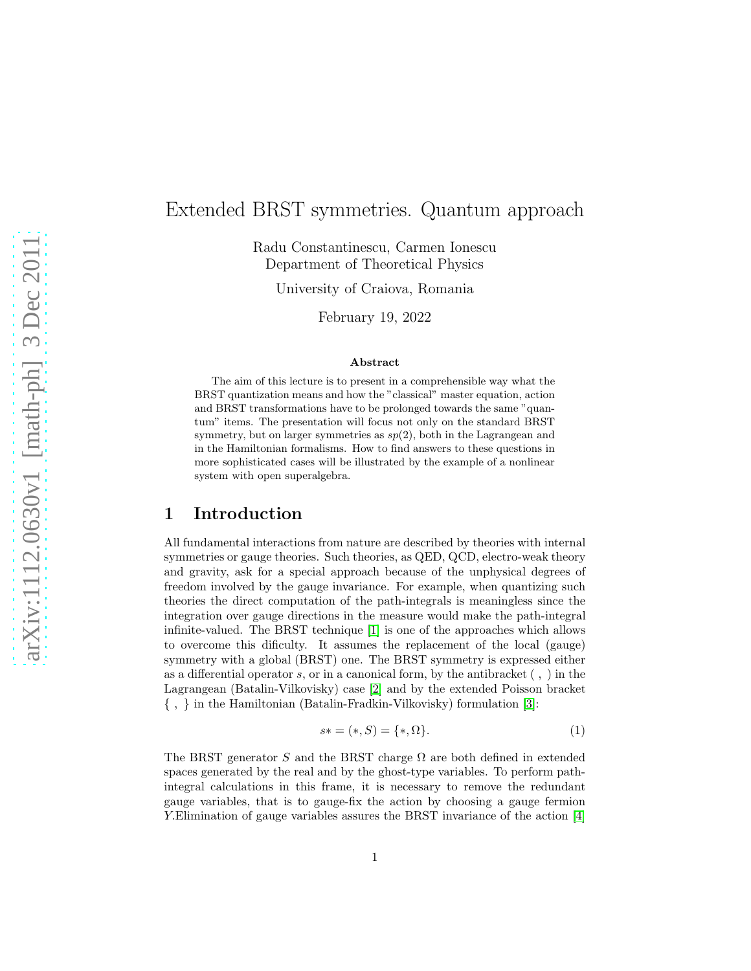## Extended BRST symmetries. Quantum approach

Radu Constantinescu, Carmen Ionescu Department of Theoretical Physics

University of Craiova, Romania

February 19, 2022

#### Abstract

The aim of this lecture is to present in a comprehensible way what the BRST quantization means and how the "classical" master equation, action and BRST transformations have to be prolonged towards the same "quantum" items. The presentation will focus not only on the standard BRST symmetry, but on larger symmetries as  $sp(2)$ , both in the Lagrangean and in the Hamiltonian formalisms. How to find answers to these questions in more sophisticated cases will be illustrated by the example of a nonlinear system with open superalgebra.

## 1 Introduction

All fundamental interactions from nature are described by theories with internal symmetries or gauge theories. Such theories, as QED, QCD, electro-weak theory and gravity, ask for a special approach because of the unphysical degrees of freedom involved by the gauge invariance. For example, when quantizing such theories the direct computation of the path-integrals is meaningless since the integration over gauge directions in the measure would make the path-integral infinite-valued. The BRST technique [\[1\]](#page-9-0) is one of the approaches which allows to overcome this dificulty. It assumes the replacement of the local (gauge) symmetry with a global (BRST) one. The BRST symmetry is expressed either as a differential operator s, or in a canonical form, by the antibracket ( , ) in the Lagrangean (Batalin-Vilkovisky) case [\[2\]](#page-9-1) and by the extended Poisson bracket { , } in the Hamiltonian (Batalin-Fradkin-Vilkovisky) formulation [\[3\]](#page-9-2):

$$
s* = (*, S) = (*, \Omega].
$$
 (1)

The BRST generator S and the BRST charge  $\Omega$  are both defined in extended spaces generated by the real and by the ghost-type variables. To perform pathintegral calculations in this frame, it is necessary to remove the redundant gauge variables, that is to gauge-fix the action by choosing a gauge fermion Y.Elimination of gauge variables assures the BRST invariance of the action [\[4\]](#page-9-3)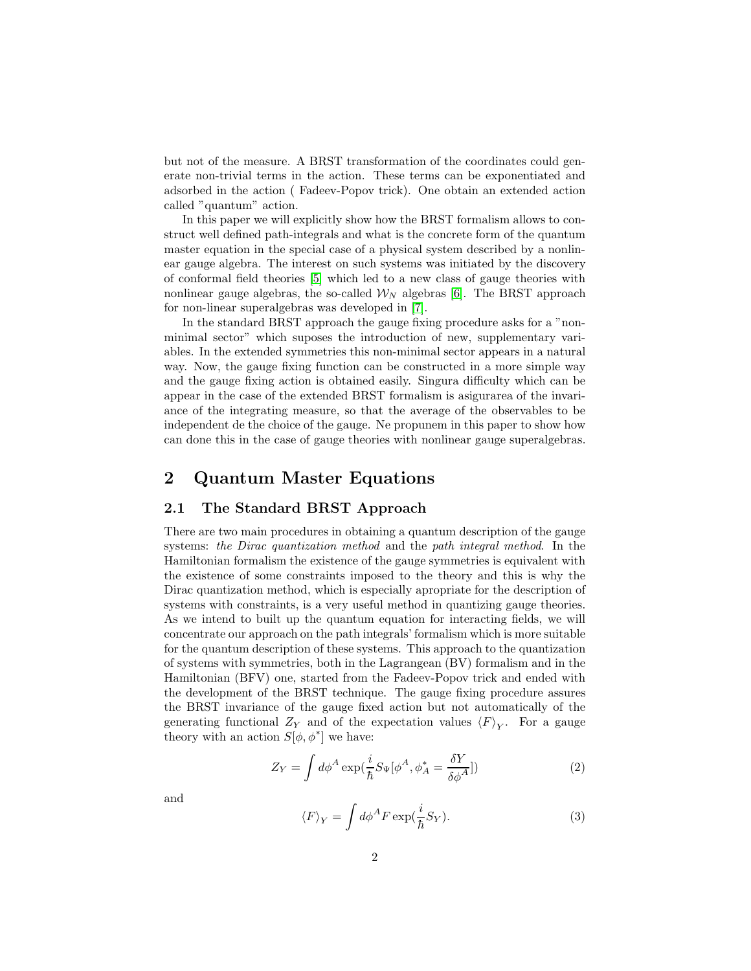but not of the measure. A BRST transformation of the coordinates could generate non-trivial terms in the action. These terms can be exponentiated and adsorbed in the action ( Fadeev-Popov trick). One obtain an extended action called "quantum" action.

In this paper we will explicitly show how the BRST formalism allows to construct well defined path-integrals and what is the concrete form of the quantum master equation in the special case of a physical system described by a nonlinear gauge algebra. The interest on such systems was initiated by the discovery of conformal field theories [\[5\]](#page-9-4) which led to a new class of gauge theories with nonlinear gauge algebras, the so-called  $\mathcal{W}_{N}$  algebras [\[6\]](#page-9-5). The BRST approach for non-linear superalgebras was developed in [\[7\]](#page-9-6).

In the standard BRST approach the gauge fixing procedure asks for a "nonminimal sector" which suposes the introduction of new, supplementary variables. In the extended symmetries this non-minimal sector appears in a natural way. Now, the gauge fixing function can be constructed in a more simple way and the gauge fixing action is obtained easily. Singura difficulty which can be appear in the case of the extended BRST formalism is asigurarea of the invariance of the integrating measure, so that the average of the observables to be independent de the choice of the gauge. Ne propunem in this paper to show how can done this in the case of gauge theories with nonlinear gauge superalgebras.

## 2 Quantum Master Equations

#### 2.1 The Standard BRST Approach

There are two main procedures in obtaining a quantum description of the gauge systems: *the Dirac quantization method* and the *path integral method*. In the Hamiltonian formalism the existence of the gauge symmetries is equivalent with the existence of some constraints imposed to the theory and this is why the Dirac quantization method, which is especially apropriate for the description of systems with constraints, is a very useful method in quantizing gauge theories. As we intend to built up the quantum equation for interacting fields, we will concentrate our approach on the path integrals' formalism which is more suitable for the quantum description of these systems. This approach to the quantization of systems with symmetries, both in the Lagrangean (BV) formalism and in the Hamiltonian (BFV) one, started from the Fadeev-Popov trick and ended with the development of the BRST technique. The gauge fixing procedure assures the BRST invariance of the gauge fixed action but not automatically of the generating functional  $Z_Y$  and of the expectation values  $\langle F \rangle_Y$ . For a gauge theory with an action  $S[\phi, \phi^*]$  we have:

<span id="page-1-0"></span>
$$
Z_Y = \int d\phi^A \exp(\frac{i}{\hbar} S_\Psi[\phi^A, \phi_A^* = \frac{\delta Y}{\delta \phi^A}])
$$
\n(2)

and

<span id="page-1-1"></span>
$$
\langle F \rangle_Y = \int d\phi^A F \exp(\frac{i}{\hbar} S_Y). \tag{3}
$$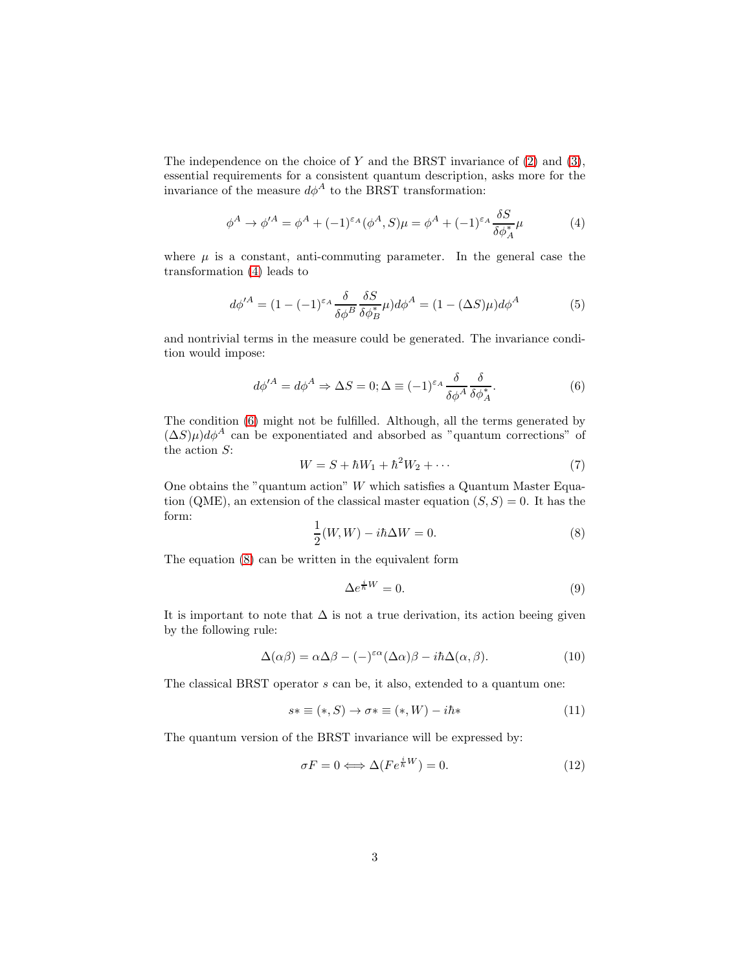The independence on the choice of  $Y$  and the BRST invariance of  $(2)$  and  $(3)$ , essential requirements for a consistent quantum description, asks more for the invariance of the measure  $d\phi^A$  to the BRST transformation:

$$
\phi^A \to \phi'^A = \phi^A + (-1)^{\varepsilon_A} (\phi^A, S)\mu = \phi^A + (-1)^{\varepsilon_A} \frac{\delta S}{\delta \phi_A^*} \mu \tag{4}
$$

where  $\mu$  is a constant, anti-commuting parameter. In the general case the transformation [\(4\)](#page-11-0) leads to

$$
d\phi'^A = (1 - (-1)^{\varepsilon_A} \frac{\delta}{\delta \phi^B} \frac{\delta S}{\delta \phi_B^*} \mu) d\phi^A = (1 - (\Delta S)\mu) d\phi^A \tag{5}
$$

and nontrivial terms in the measure could be generated. The invariance condition would impose:

$$
d\phi'^A = d\phi^A \Rightarrow \Delta S = 0; \Delta \equiv (-1)^{\varepsilon_A} \frac{\delta}{\delta \phi^A} \frac{\delta}{\delta \phi_A^*}.
$$
 (6)

The condition [\(6\)](#page-12-0) might not be fulfilled. Although, all the terms generated by  $(\Delta S)\mu)d\phi^A$  can be exponentiated and absorbed as "quantum corrections" of the action  $S$ :

$$
W = S + \hbar W_1 + \hbar^2 W_2 + \cdots \tag{7}
$$

One obtains the "quantum action"  $W$  which satisfies a Quantum Master Equation (QME), an extension of the classical master equation  $(S, S) = 0$ . It has the form:

$$
\frac{1}{2}(W,W) - i\hbar\Delta W = 0.
$$
 (8)

The equation [\(8\)](#page-12-1) can be written in the equivalent form

$$
\Delta e^{\frac{i}{\hbar}W} = 0. \tag{9}
$$

It is important to note that  $\Delta$  is not a true derivation, its action beeing given by the following rule:

$$
\Delta(\alpha \beta) = \alpha \Delta \beta - (-)^{\varepsilon \alpha} (\Delta \alpha) \beta - i \hbar \Delta(\alpha, \beta).
$$
 (10)

The classical BRST operator s can be, it also, extended to a quantum one:

$$
s \ast \equiv (*, S) \rightarrow \sigma \ast \equiv (*, W) - i\hbar \ast \tag{11}
$$

The quantum version of the BRST invariance will be expressed by:

$$
\sigma F = 0 \Longleftrightarrow \Delta (Fe^{\frac{i}{\hbar}W}) = 0. \tag{12}
$$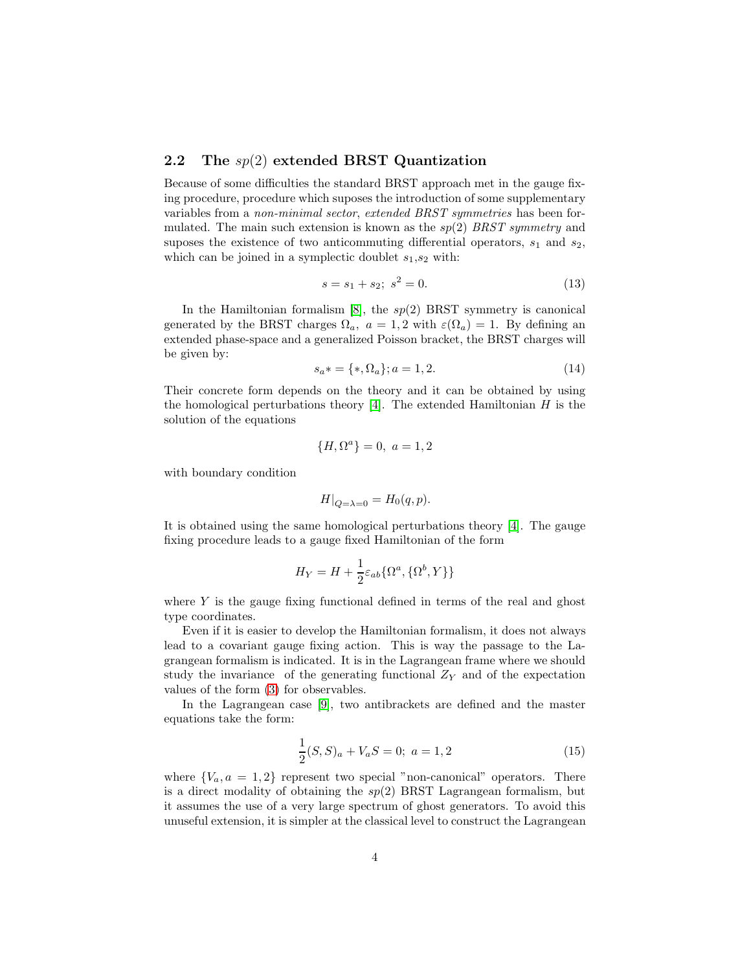#### 2.2 The  $sp(2)$  extended BRST Quantization

Because of some difficulties the standard BRST approach met in the gauge fixing procedure, procedure which suposes the introduction of some supplementary variables from a *non-minimal sector*, *extended BRST symmetries* has been formulated. The main such extension is known as the sp(2) *BRST symmetry* and suposes the existence of two anticommuting differential operators,  $s_1$  and  $s_2$ , which can be joined in a symplectic doublet  $s_1, s_2$  with:

$$
s = s_1 + s_2; \ s^2 = 0. \tag{13}
$$

In the Hamiltonian formalism  $[8]$ , the  $sp(2)$  BRST symmetry is canonical generated by the BRST charges  $\Omega_a$ ,  $a = 1, 2$  with  $\varepsilon(\Omega_a) = 1$ . By defining an extended phase-space and a generalized Poisson bracket, the BRST charges will be given by:

$$
s_a* = \{*, \Omega_a\}; a = 1, 2. \tag{14}
$$

Their concrete form depends on the theory and it can be obtained by using the homological perturbations theory [\[4\]](#page-9-3). The extended Hamiltonian  $H$  is the solution of the equations

$$
\{H, \Omega^a\} = 0, \ a = 1, 2
$$

with boundary condition

$$
H|_{Q=\lambda=0} = H_0(q, p).
$$

It is obtained using the same homological perturbations theory [\[4\]](#page-9-3). The gauge fixing procedure leads to a gauge fixed Hamiltonian of the form

$$
H_Y = H + \frac{1}{2} \varepsilon_{ab} {\Omega^a, {\Omega^b, Y}}
$$

where Y is the gauge fixing functional defined in terms of the real and ghost type coordinates.

Even if it is easier to develop the Hamiltonian formalism, it does not always lead to a covariant gauge fixing action. This is way the passage to the Lagrangean formalism is indicated. It is in the Lagrangean frame where we should study the invariance of the generating functional  $Z<sub>Y</sub>$  and of the expectation values of the form [\(3\)](#page-1-1) for observables.

In the Lagrangean case [\[9\]](#page-9-8), two antibrackets are defined and the master equations take the form:

<span id="page-3-0"></span>
$$
\frac{1}{2}(S,S)_a + V_a S = 0; \ a = 1,2
$$
\n(15)

where  ${V_a, a = 1, 2}$  represent two special "non-canonical" operators. There is a direct modality of obtaining the  $sp(2)$  BRST Lagrangean formalism, but it assumes the use of a very large spectrum of ghost generators. To avoid this unuseful extension, it is simpler at the classical level to construct the Lagrangean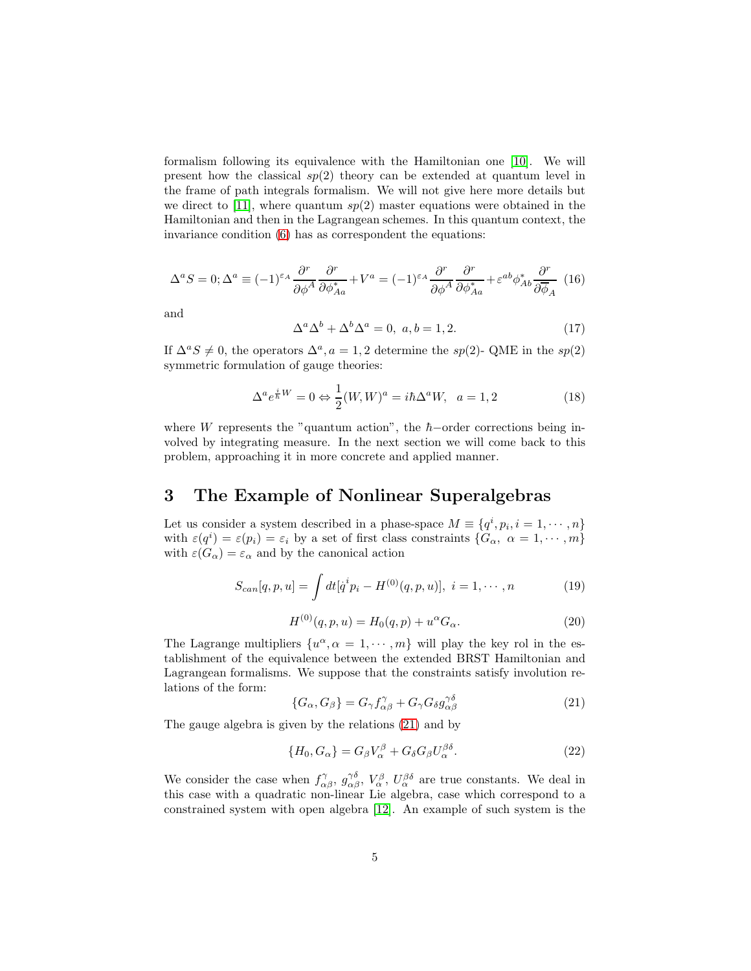formalism following its equivalence with the Hamiltonian one [\[10\]](#page-9-9). We will present how the classical  $sp(2)$  theory can be extended at quantum level in the frame of path integrals formalism. We will not give here more details but we direct to [\[11\]](#page-9-10), where quantum  $sp(2)$  master equations were obtained in the Hamiltonian and then in the Lagrangean schemes. In this quantum context, the invariance condition [\(6\)](#page-12-0) has as correspondent the equations:

<span id="page-4-1"></span>
$$
\Delta^a S = 0; \Delta^a \equiv (-1)^{\varepsilon_A} \frac{\partial^r}{\partial \phi^A} \frac{\partial^r}{\partial \phi^*_{Aa}} + V^a = (-1)^{\varepsilon_A} \frac{\partial^r}{\partial \phi^A} \frac{\partial^r}{\partial \phi^*_{Aa}} + \varepsilon^{ab} \phi^*_{Ab} \frac{\partial^r}{\partial \overline{\phi}_A} \tag{16}
$$

and

$$
\Delta^a \Delta^b + \Delta^b \Delta^a = 0, \ a, b = 1, 2. \tag{17}
$$

If  $\Delta^a S \neq 0$ , the operators  $\Delta^a$ ,  $a = 1, 2$  determine the sp(2)- QME in the sp(2) symmetric formulation of gauge theories:

<span id="page-4-2"></span>
$$
\Delta^a e^{\frac{i}{\hbar}W} = 0 \Leftrightarrow \frac{1}{2}(W,W)^a = i\hbar \Delta^a W, \ \ a = 1,2
$$
 (18)

where W represents the "quantum action", the  $\hbar$ -order corrections being involved by integrating measure. In the next section we will come back to this problem, approaching it in more concrete and applied manner.

## 3 The Example of Nonlinear Superalgebras

Let us consider a system described in a phase-space  $M \equiv \{q^i, p_i, i = 1, \cdots, n\}$ with  $\varepsilon(q^i) = \varepsilon(p_i) = \varepsilon_i$  by a set of first class constraints  $\{G_\alpha, \alpha = 1, \cdots, m\}$ with  $\varepsilon(G_{\alpha}) = \varepsilon_{\alpha}$  and by the canonical action

$$
S_{can}[q, p, u] = \int dt [\dot{q}^i p_i - H^{(0)}(q, p, u)], \ i = 1, \cdots, n
$$
 (19)

$$
H^{(0)}(q, p, u) = H_0(q, p) + u^{\alpha} G_{\alpha}.
$$
\n(20)

The Lagrange multipliers  $\{u^{\alpha}, \alpha = 1, \cdots, m\}$  will play the key rol in the establishment of the equivalence between the extended BRST Hamiltonian and Lagrangean formalisms. We suppose that the constraints satisfy involution relations of the form:

$$
\{G_{\alpha}, G_{\beta}\} = G_{\gamma} f^{\gamma}_{\alpha\beta} + G_{\gamma} G_{\delta} g^{\gamma\delta}_{\alpha\beta} \tag{21}
$$

The gauge algebra is given by the relations [\(21\)](#page-14-0) and by

<span id="page-4-0"></span>
$$
\{H_0, G_\alpha\} = G_\beta V_\alpha^\beta + G_\delta G_\beta U_\alpha^{\beta\delta}.
$$
\n(22)

We consider the case when  $f_{\alpha\beta}^{\gamma}$ ,  $g_{\alpha\beta}^{\gamma\delta}$ ,  $V_{\alpha}^{\beta}$ ,  $U_{\alpha}^{\beta\delta}$  are true constants. We deal in this case with a quadratic non-linear Lie algebra, case which correspond to a constrained system with open algebra [\[12\]](#page-9-11). An example of such system is the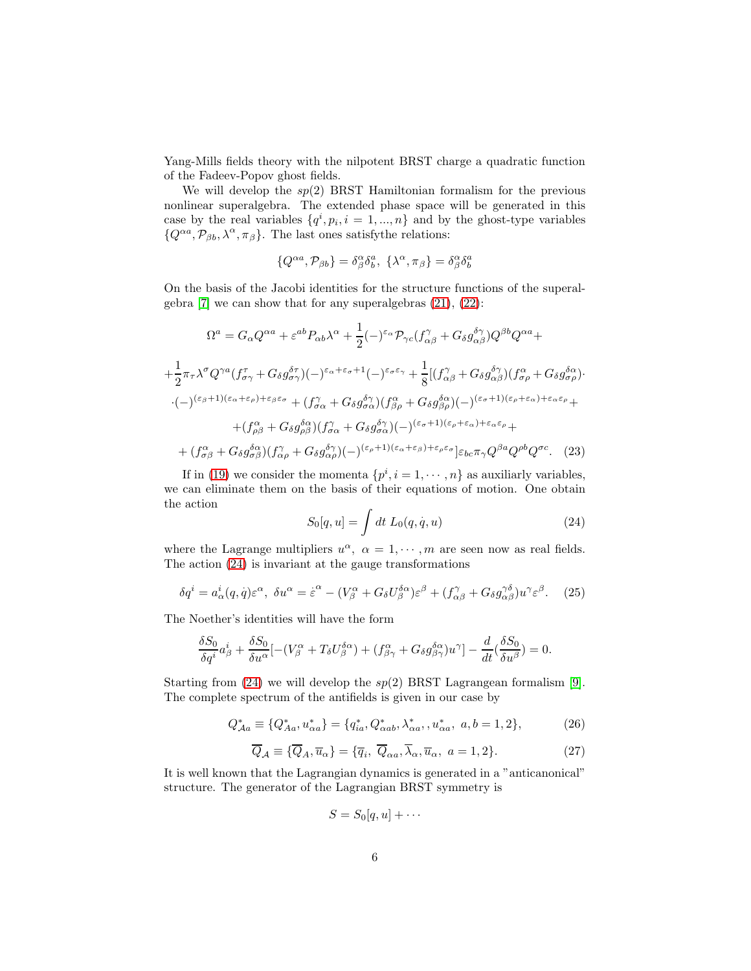Yang-Mills fields theory with the nilpotent BRST charge a quadratic function of the Fadeev-Popov ghost fields.

We will develop the  $sp(2)$  BRST Hamiltonian formalism for the previous nonlinear superalgebra. The extended phase space will be generated in this case by the real variables  $\{q^i, p_i, i = 1, ..., n\}$  and by the ghost-type variables  $\{Q^{\alpha a}, \mathcal{P}_{\beta b}, \lambda^{\alpha}, \pi_{\beta}\}.$  The last ones satisfy the relations:

$$
\{Q^{\alpha a}, \mathcal{P}_{\beta b}\} = \delta^\alpha_\beta \delta^a_b, \ \{\lambda^\alpha, \pi_\beta\} = \delta^\alpha_\beta \delta^a_b
$$

On the basis of the Jacobi identities for the structure functions of the superalgebra  $[7]$  we can show that for any superalgebras  $(21)$ ,  $(22)$ :

$$
\Omega^{a} = G_{\alpha}Q^{\alpha a} + \varepsilon^{ab}P_{\alpha b}\lambda^{\alpha} + \frac{1}{2}(-)^{\varepsilon_{\alpha}}\mathcal{P}_{\gamma c}(f_{\alpha\beta}^{\gamma} + G_{\delta}g_{\alpha\beta}^{\delta\gamma})Q^{\beta b}Q^{\alpha a} +
$$
  
+ 
$$
\frac{1}{2}\pi_{\tau}\lambda^{\sigma}Q^{\gamma a}(f_{\sigma\gamma}^{\tau} + G_{\delta}g_{\sigma\gamma}^{\delta\tau})(-)^{\varepsilon_{\alpha}+\varepsilon_{\sigma}+1}(-)^{\varepsilon_{\sigma}\varepsilon_{\gamma}} + \frac{1}{8}[(f_{\alpha\beta}^{\gamma} + G_{\delta}g_{\alpha\beta}^{\delta\gamma})(f_{\sigma\rho}^{\alpha} + G_{\delta}g_{\sigma\rho}^{\delta\alpha})
$$
  
·
$$
(-)^{(\varepsilon_{\beta}+1)(\varepsilon_{\alpha}+\varepsilon_{\rho})+\varepsilon_{\beta}\varepsilon_{\sigma}} + (f_{\sigma\alpha}^{\gamma} + G_{\delta}g_{\sigma\alpha}^{\delta\gamma})(f_{\beta\rho}^{\alpha} + G_{\delta}g_{\beta\rho}^{\delta\alpha})(-)^{(\varepsilon_{\sigma}+1)(\varepsilon_{\rho}+\varepsilon_{\alpha})+\varepsilon_{\alpha}\varepsilon_{\rho}} +
$$
  
+ 
$$
(f_{\rho\beta}^{\alpha} + G_{\delta}g_{\rho\beta}^{\delta\alpha})(f_{\alpha\alpha}^{\gamma} + G_{\delta}g_{\sigma\alpha}^{\delta\gamma})(-)^{(\varepsilon_{\sigma}+1)(\varepsilon_{\rho}+\varepsilon_{\alpha})+\varepsilon_{\alpha}\varepsilon_{\rho}} +
$$
  
+ 
$$
(f_{\sigma\beta}^{\alpha} + G_{\delta}g_{\sigma\beta}^{\delta\alpha})(f_{\alpha\rho}^{\gamma} + G_{\delta}g_{\alpha\rho}^{\delta\gamma})(-)^{(\varepsilon_{\rho}+1)(\varepsilon_{\alpha}+\varepsilon_{\beta})+\varepsilon_{\rho}\varepsilon_{\sigma}}] \varepsilon_{bc}\pi_{\gamma}Q^{\beta a}Q^{\rho b}Q^{\sigma c}. \quad (23)
$$

If in [\(19\)](#page-13-0) we consider the momenta  $\{p^i, i = 1, \dots, n\}$  as auxiliarly variables, we can eliminate them on the basis of their equations of motion. One obtain the action

$$
S_0[q, u] = \int dt \ L_0(q, \dot{q}, u) \tag{24}
$$

where the Lagrange multipliers  $u^{\alpha}$ ,  $\alpha = 1, \cdots, m$  are seen now as real fields. The action [\(24\)](#page-14-1) is invariant at the gauge transformations

$$
\delta q^i = a^i_\alpha(q, \dot{q}) \varepsilon^\alpha, \ \delta u^\alpha = \dot{\varepsilon}^\alpha - (V^\alpha_\beta + G_\delta U^\delta_\beta{}^\alpha) \varepsilon^\beta + (f^\gamma_{\alpha\beta} + G_\delta g^{\gamma\delta}_{\alpha\beta}) u^\gamma \varepsilon^\beta. \tag{25}
$$

The Noether's identities will have the form

$$
\frac{\delta S_0}{\delta q^i} a^i_\beta + \frac{\delta S_0}{\delta u^\alpha} [-(V^\alpha_\beta + T_\delta U^{\delta \alpha}_\beta) + (f^\alpha_{\beta \gamma} + G_\delta g^{\delta \alpha}_{\beta \gamma}) u^\gamma] - \frac{d}{dt} (\frac{\delta S_0}{\delta u^\beta}) = 0.
$$

Starting from [\(24\)](#page-14-1) we will develop the  $sp(2)$  BRST Lagrangean formalism [\[9\]](#page-9-8). The complete spectrum of the antifields is given in our case by

$$
Q_{Aa}^{*} \equiv \{Q_{Aa}^{*}, u_{\alpha a}^{*}\} = \{q_{ia}^{*}, Q_{\alpha ab}^{*}, \lambda_{\alpha a}^{*}, u_{\alpha a}^{*}, a, b = 1, 2\},
$$
 (26)

$$
\overline{Q}_{\mathcal{A}} \equiv \{ \overline{Q}_{A}, \overline{u}_{\alpha} \} = \{ \overline{q}_{i}, \overline{Q}_{\alpha a}, \overline{\lambda}_{\alpha}, \overline{u}_{\alpha}, \ a = 1, 2 \}. \tag{27}
$$

It is well known that the Lagrangian dynamics is generated in a "anticanonical" structure. The generator of the Lagrangian BRST symmetry is

$$
S = S_0[q, u] + \cdots
$$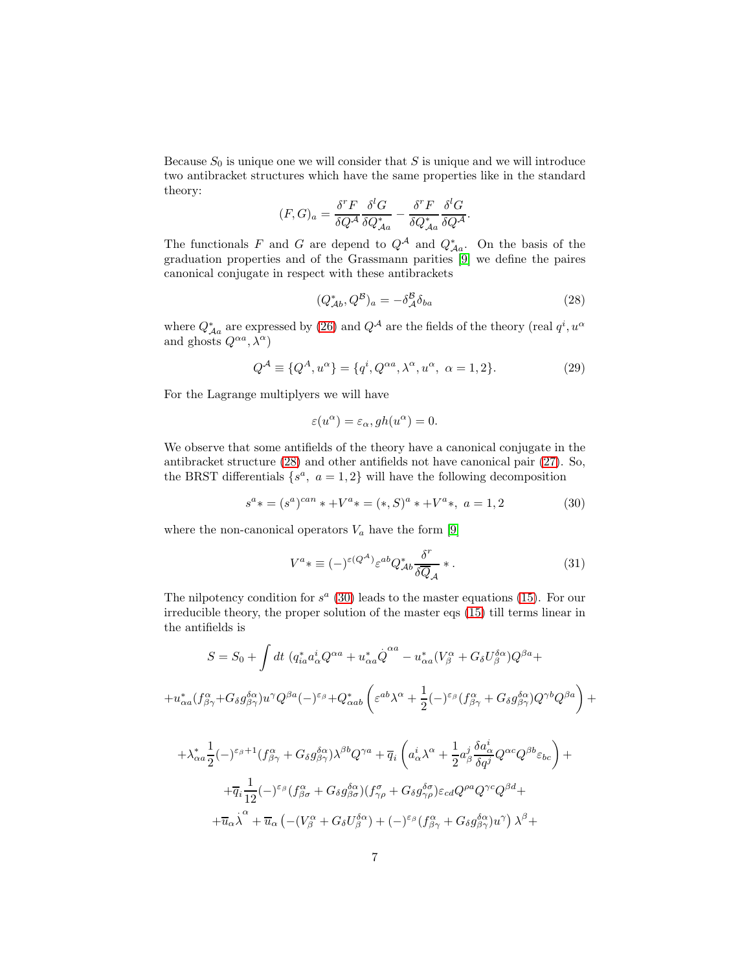Because  $S_0$  is unique one we will consider that  $S$  is unique and we will introduce two antibracket structures which have the same properties like in the standard theory:

$$
(F,G)_a = \frac{\delta^r F}{\delta Q^{\mathcal{A}}} \frac{\delta^l G}{\delta Q^*_{\mathcal{A}a}} - \frac{\delta^r F}{\delta Q^*_{\mathcal{A}a}} \frac{\delta^l G}{\delta Q^{\mathcal{A}}}.
$$

The functionals F and G are depend to  $Q^{\mathcal{A}}$  and  $Q_{\mathcal{A}a}^*$ . On the basis of the graduation properties and of the Grassmann parities [\[9\]](#page-9-8) we define the paires canonical conjugate in respect with these antibrackets

$$
(Q_{\mathcal{A}b}^*, Q^{\mathcal{B}})_a = -\delta_{\mathcal{A}}^{\mathcal{B}} \delta_{ba} \tag{28}
$$

where  $Q^*_{Aa}$  are expressed by [\(26\)](#page-14-2) and  $Q^{\mathcal{A}}$  are the fields of the theory (real  $q^i,u^{\alpha}$ and ghosts  $Q^{\alpha a}$ ,  $\lambda^{\alpha}$ )

$$
Q^{\mathcal{A}} \equiv \{Q^{A}, u^{\alpha}\} = \{q^{i}, Q^{\alpha a}, \lambda^{\alpha}, u^{\alpha}, \alpha = 1, 2\}.
$$
 (29)

For the Lagrange multiplyers we will have

$$
\varepsilon(u^{\alpha}) = \varepsilon_{\alpha}, gh(u^{\alpha}) = 0.
$$

We observe that some antifields of the theory have a canonical conjugate in the antibracket structure [\(28\)](#page-15-0) and other antifields not have canonical pair [\(27\)](#page-15-1). So, the BRST differentials  $\{s^a, a = 1, 2\}$  will have the following decomposition

$$
s^{a} * = (s^{a})^{can} * + V^{a} * = (*, S)^{a} * + V^{a} * , a = 1, 2
$$
\n(30)

where the non-canonical operators  $V_a$  have the form [\[9\]](#page-9-8)

$$
V^{a} * \equiv (-)^{\varepsilon(Q^{\mathcal{A}})} \varepsilon^{ab} Q_{\mathcal{A}b}^{*} \frac{\delta^{r}}{\delta \overline{Q}_{\mathcal{A}}} * . \tag{31}
$$

The nilpotency condition for  $s^a$  [\(30\)](#page-15-2) leads to the master equations [\(15\)](#page-3-0). For our irreducible theory, the proper solution of the master eqs [\(15\)](#page-3-0) till terms linear in the antifields is

$$
S = S_0 + \int dt \left( q_{ia}^* a_\alpha^i Q^{\alpha a} + u_{\alpha a}^* Q^{\alpha a} - u_{\alpha a}^* (V_\beta^\alpha + G_\delta U_\beta^{\delta \alpha}) Q^{\beta a} + \right.
$$
  
\n
$$
+ u_{\alpha a}^* (f_{\beta \gamma}^\alpha + G_\delta g_{\beta \gamma}^{\delta \alpha}) u^\gamma Q^{\beta a} (-)^{\varepsilon \beta} + Q_{\alpha ab}^* \left( \varepsilon^{ab} \lambda^\alpha + \frac{1}{2} (-)^{\varepsilon \beta} (f_{\beta \gamma}^\alpha + G_\delta g_{\beta \gamma}^{\delta \alpha}) Q^{\gamma b} Q^{\beta a} \right) + \right.
$$
  
\n
$$
+ \lambda_{\alpha a}^* \frac{1}{2} (-)^{\varepsilon \beta + 1} (f_{\beta \gamma}^\alpha + G_\delta g_{\beta \gamma}^{\delta \alpha}) \lambda^{\beta b} Q^{\gamma a} + \overline{q}_i \left( a_\alpha^i \lambda^\alpha + \frac{1}{2} a_\beta^j \frac{\delta a_\alpha^i}{\delta q^j} Q^{\alpha c} Q^{\beta b} \varepsilon_{bc} \right) + \right.
$$
  
\n
$$
+ \overline{q}_i \frac{1}{12} (-)^{\varepsilon \beta} (f_{\beta \sigma}^\alpha + G_\delta g_{\beta \sigma}^{\delta \alpha}) (f_{\gamma \rho}^\sigma + G_\delta g_{\gamma \rho}^{\delta \sigma}) \varepsilon_{cd} Q^{\rho a} Q^{\gamma c} Q^{\beta d} + \right.
$$
  
\n
$$
+ \overline{u}_\alpha \lambda^\alpha + \overline{u}_\alpha \left( -(V_\beta^\alpha + G_\delta U_\beta^{\delta \alpha}) + (-)^{\varepsilon \beta} (f_{\beta \gamma}^\alpha + G_\delta g_{\beta \gamma}^{\delta \alpha}) u^\gamma \right) \lambda^\beta +
$$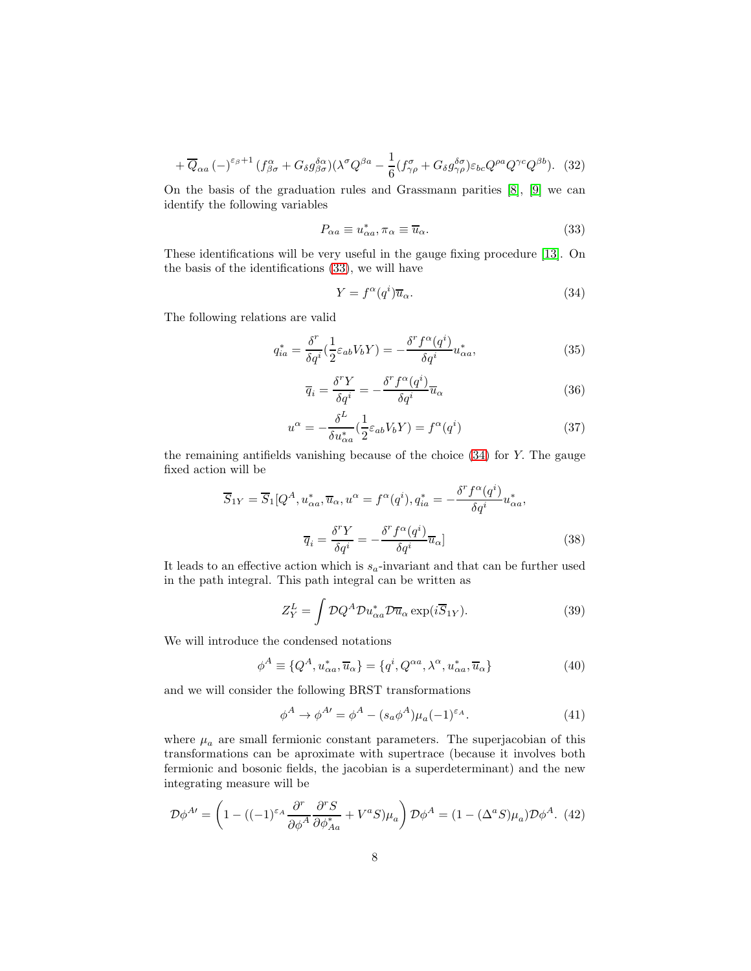$$
+\overline{Q}_{\alpha a} \left(-\right)^{\varepsilon_{\beta}+1} (f^{\alpha}_{\beta\sigma} + G_{\delta} g^{\delta\alpha}_{\beta\sigma}) (\lambda^{\sigma} Q^{\beta a} - \frac{1}{6} (f^{\sigma}_{\gamma\rho} + G_{\delta} g^{\delta\sigma}_{\gamma\rho}) \varepsilon_{bc} Q^{\rho a} Q^{\gamma c} Q^{\beta b}). \tag{32}
$$

On the basis of the graduation rules and Grassmann parities [\[8\]](#page-9-7), [\[9\]](#page-9-8) we can identify the following variables

$$
P_{\alpha a} \equiv u_{\alpha a}^*, \pi_\alpha \equiv \overline{u}_\alpha. \tag{33}
$$

These identifications will be very useful in the gauge fixing procedure [\[13\]](#page-9-12). On the basis of the identifications [\(33\)](#page-15-3), we will have

$$
Y = f^{\alpha}(q^{i})\overline{u}_{\alpha}.
$$
\n(34)

The following relations are valid

$$
q_{ia}^* = \frac{\delta^r}{\delta q^i} \left(\frac{1}{2} \varepsilon_{ab} V_b Y\right) = -\frac{\delta^r f^\alpha(q^i)}{\delta q^i} u_{\alpha a}^*,\tag{35}
$$

$$
\overline{q}_i = \frac{\delta^r Y}{\delta q^i} = -\frac{\delta^r f^\alpha(q^i)}{\delta q^i} \overline{u}_\alpha \tag{36}
$$

$$
u^{\alpha} = -\frac{\delta^L}{\delta u^*_{\alpha a}} \left(\frac{1}{2} \varepsilon_{ab} V_b Y\right) = f^{\alpha}(q^i)
$$
\n(37)

the remaining antifields vanishing because of the choice [\(34\)](#page-15-4) for Y. The gauge fixed action will be

$$
\overline{S}_{1Y} = \overline{S}_1 [Q^A, u_{\alpha a}^*, \overline{u}_{\alpha}, u^{\alpha}] = f^{\alpha}(q^i), q_{ia}^* = -\frac{\delta^r f^{\alpha}(q^i)}{\delta q^i} u_{\alpha a}^*,
$$

$$
\overline{q}_i = \frac{\delta^r Y}{\delta q^i} = -\frac{\delta^r f^{\alpha}(q^i)}{\delta q^i} \overline{u}_{\alpha}]
$$
(38)

It leads to an effective action which is  $s_a$ -invariant and that can be further used in the path integral. This path integral can be written as

$$
Z_Y^L = \int \mathcal{D}Q^A \mathcal{D}u_{\alpha a}^* \mathcal{D}\overline{u}_{\alpha} \exp(i\overline{S}_{1Y}). \tag{39}
$$

We will introduce the condensed notations

$$
\phi^A \equiv \{Q^A, u^*_{\alpha a}, \overline{u}_{\alpha}\} = \{q^i, Q^{\alpha a}, \lambda^{\alpha}, u^*_{\alpha a}, \overline{u}_{\alpha}\}\tag{40}
$$

and we will consider the following BRST transformations

<span id="page-7-0"></span>
$$
\phi^A \to \phi^{A'} = \phi^A - (s_a \phi^A) \mu_a (-1)^{\varepsilon_A}.
$$
\n(41)

where  $\mu_a$  are small fermionic constant parameters. The superjacobian of this transformations can be aproximate with supertrace (because it involves both fermionic and bosonic fields, the jacobian is a superdeterminant) and the new integrating measure will be

$$
\mathcal{D}\phi^{A\prime} = \left(1 - \left((-1)^{\varepsilon_A} \frac{\partial^r}{\partial \phi^A} \frac{\partial^r S}{\partial \phi^*_{Aa}} + V^a S\right) \mu_a\right) \mathcal{D}\phi^A = \left(1 - \left(\Delta^a S\right) \mu_a\right) \mathcal{D}\phi^A. \tag{42}
$$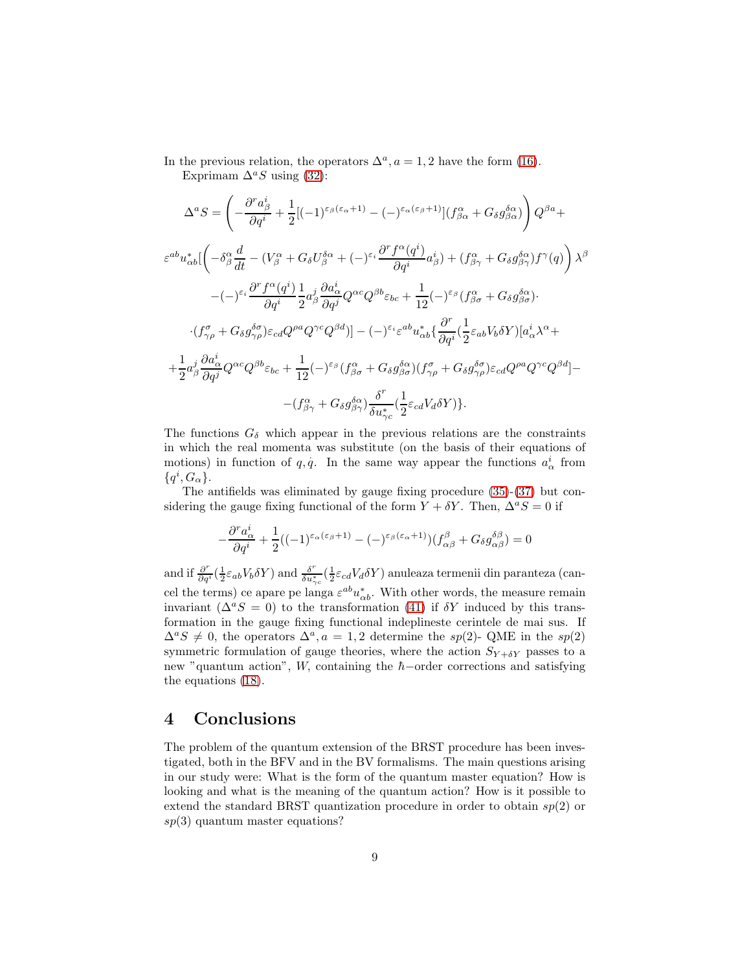In the previous relation, the operators  $\Delta^a$ ,  $a = 1, 2$  have the form [\(16\)](#page-4-1). Exprimam  $\Delta^a S$  using [\(32\)](#page-15-5):

$$
\Delta^{a}S = \left(-\frac{\partial^{r}a_{\beta}^{i}}{\partial q^{i}} + \frac{1}{2}[(-1)^{\varepsilon_{\beta}(\varepsilon_{\alpha}+1)} - (-)^{\varepsilon_{\alpha}(\varepsilon_{\beta}+1)}](f_{\beta\alpha}^{\alpha} + G_{\delta}g_{\beta\alpha}^{\delta\alpha})\right)Q^{\beta a} +
$$
  
\n
$$
\varepsilon^{ab}u_{\alpha b}^{*}[\left(-\delta_{\beta}^{\alpha}\frac{d}{dt} - (V_{\beta}^{\alpha} + G_{\delta}U_{\beta}^{\delta\alpha} + (-)^{\varepsilon_{i}}\frac{\partial^{r}f^{\alpha}(q^{i})}{\partial q^{i}}a_{\beta}^{i}\right) + (f_{\beta\gamma}^{\alpha} + G_{\delta}g_{\beta\gamma}^{\delta\alpha})f^{\gamma}(q)\right)\lambda^{\beta}
$$
  
\n
$$
-(-)^{\varepsilon_{i}}\frac{\partial^{r}f^{\alpha}(q^{i})}{\partial q^{i}}\frac{1}{2}a_{\beta}^{i}\frac{\partial a_{\alpha}^{i}}{\partial q^{j}}Q^{\alpha c}Q^{\beta b}\varepsilon_{bc} + \frac{1}{12}(-)^{\varepsilon_{\beta}}(f_{\beta\sigma}^{\alpha} + G_{\delta}g_{\beta\sigma}^{\delta\alpha}).
$$
  
\n
$$
\cdot (f_{\gamma\rho}^{\sigma} + G_{\delta}g_{\gamma\rho}^{\delta\sigma})\varepsilon_{cd}Q^{\rho a}Q^{\gamma c}Q^{\beta d})] - (-)^{\varepsilon_{i}}\varepsilon^{ab}u_{\alpha b}^{*}\left\{\frac{\partial^{r}}{\partial q^{i}}\left(\frac{1}{2}\varepsilon_{ab}V_{b}\delta Y\right)[a_{\alpha}^{i}\lambda^{\alpha} +
$$
  
\n
$$
+\frac{1}{2}a_{\beta}^{j}\frac{\partial a_{\alpha}^{i}}{\partial q^{j}}Q^{\alpha c}Q^{\beta b}\varepsilon_{bc} + \frac{1}{12}(-)^{\varepsilon_{\beta}}(f_{\beta\sigma}^{\alpha} + G_{\delta}g_{\beta\sigma}^{\delta\alpha})(f_{\gamma\rho}^{\sigma} + G_{\delta}g_{\gamma\rho}^{\delta\sigma})\varepsilon_{cd}Q^{\rho a}Q^{\gamma c}Q^{\beta d}] -
$$
  
\n

The functions  $G_{\delta}$  which appear in the previous relations are the constraints in which the real momenta was substitute (on the basis of their equations of motions) in function of q, q. In the same way appear the functions  $a^i_\alpha$  from  $\{q^i,G_\alpha\}.$ 

The antifields was eliminated by gauge fixing procedure [\(35\)](#page-16-0)-[\(37\)](#page-16-1) but considering the gauge fixing functional of the form  $Y + \delta Y$ . Then,  $\Delta^a S = 0$  if

$$
-\frac{\partial^r a^i_\alpha}{\partial q^i} + \frac{1}{2}((-1)^{\varepsilon_\alpha(\varepsilon_\beta + 1)} - (-)^{\varepsilon_\beta(\varepsilon_\alpha + 1)})(f^\beta_{\alpha\beta} + G_\delta g^{\delta\beta}_{\alpha\beta}) = 0
$$

and if  $\frac{\partial^r}{\partial q^i}(\frac{1}{2}\varepsilon_{ab}V_b\delta Y)$  and  $\frac{\delta^r}{\delta u_{\gamma c}^*}(\frac{1}{2}\varepsilon_{cd}V_d\delta Y)$  anuleaza termenii din paranteza (cancel the terms) ce apare pe langa  $\varepsilon^{ab}u_{\alpha b}^*$ . With other words, the measure remain invariant ( $\Delta^a S = 0$ ) to the transformation [\(41\)](#page-7-0) if  $\delta Y$  induced by this transformation in the gauge fixing functional indeplineste cerintele de mai sus. If  $\Delta^a S \neq 0$ , the operators  $\Delta^a$ ,  $a = 1, 2$  determine the sp(2)- QME in the sp(2) symmetric formulation of gauge theories, where the action  $S_{Y+\delta Y}$  passes to a new "quantum action", W, containing the  $\hbar$ −order corrections and satisfying the equations [\(18\)](#page-4-2).

### 4 Conclusions

The problem of the quantum extension of the BRST procedure has been investigated, both in the BFV and in the BV formalisms. The main questions arising in our study were: What is the form of the quantum master equation? How is looking and what is the meaning of the quantum action? How is it possible to extend the standard BRST quantization procedure in order to obtain  $sp(2)$  or  $sp(3)$  quantum master equations?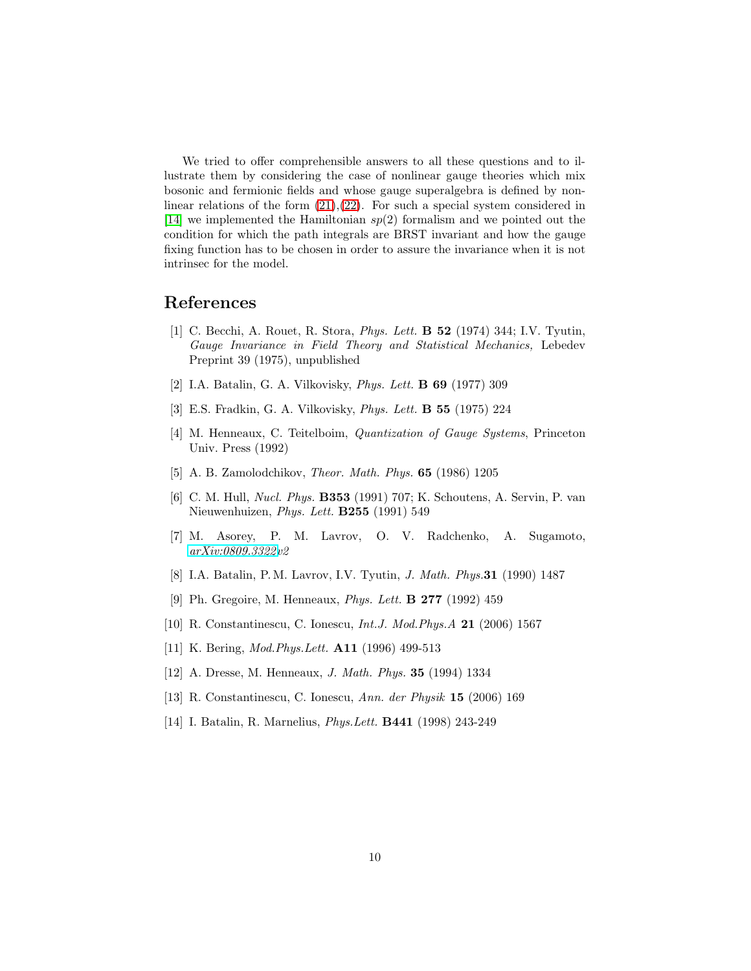We tried to offer comprehensible answers to all these questions and to illustrate them by considering the case of nonlinear gauge theories which mix bosonic and fermionic fields and whose gauge superalgebra is defined by nonlinear relations of the form  $(21),(22)$  $(21),(22)$ . For such a special system considered in [\[14\]](#page-9-13) we implemented the Hamiltonian  $sp(2)$  formalism and we pointed out the condition for which the path integrals are BRST invariant and how the gauge fixing function has to be chosen in order to assure the invariance when it is not intrinsec for the model.

## <span id="page-9-0"></span>References

- [1] C. Becchi, A. Rouet, R. Stora, *Phys. Lett.* B 52 (1974) 344; I.V. Tyutin, *Gauge Invariance in Field Theory and Statistical Mechanics,* Lebedev Preprint 39 (1975), unpublished
- <span id="page-9-2"></span><span id="page-9-1"></span>[2] I.A. Batalin, G. A. Vilkovisky, *Phys. Lett.* B 69 (1977) 309
- <span id="page-9-3"></span>[3] E.S. Fradkin, G. A. Vilkovisky, *Phys. Lett.* B 55 (1975) 224
- [4] M. Henneaux, C. Teitelboim, *Quantization of Gauge Systems*, Princeton Univ. Press (1992)
- <span id="page-9-5"></span><span id="page-9-4"></span>[5] A. B. Zamolodchikov, *Theor. Math. Phys.* 65 (1986) 1205
- [6] C. M. Hull, *Nucl. Phys.* B353 (1991) 707; K. Schoutens, A. Servin, P. van Nieuwenhuizen, *Phys. Lett.* B255 (1991) 549
- <span id="page-9-7"></span><span id="page-9-6"></span>[7] M. Asorey, P. M. Lavrov, O. V. Radchenko, A. Sugamoto, *[arXiv:0809.3322v](http://arxiv.org/abs/0809.3322)2*
- <span id="page-9-8"></span>[8] I.A. Batalin, P. M. Lavrov, I.V. Tyutin, *J. Math. Phys.*31 (1990) 1487
- <span id="page-9-9"></span>[9] Ph. Gregoire, M. Henneaux, *Phys. Lett.* B 277 (1992) 459
- <span id="page-9-10"></span>[10] R. Constantinescu, C. Ionescu, *Int.J. Mod.Phys.A* 21 (2006) 1567
- <span id="page-9-11"></span>[11] K. Bering, *Mod.Phys.Lett.* A11 (1996) 499-513
- <span id="page-9-12"></span>[12] A. Dresse, M. Henneaux, *J. Math. Phys.* 35 (1994) 1334
- <span id="page-9-13"></span>[13] R. Constantinescu, C. Ionescu, *Ann. der Physik* 15 (2006) 169
- [14] I. Batalin, R. Marnelius, *Phys.Lett.* B441 (1998) 243-249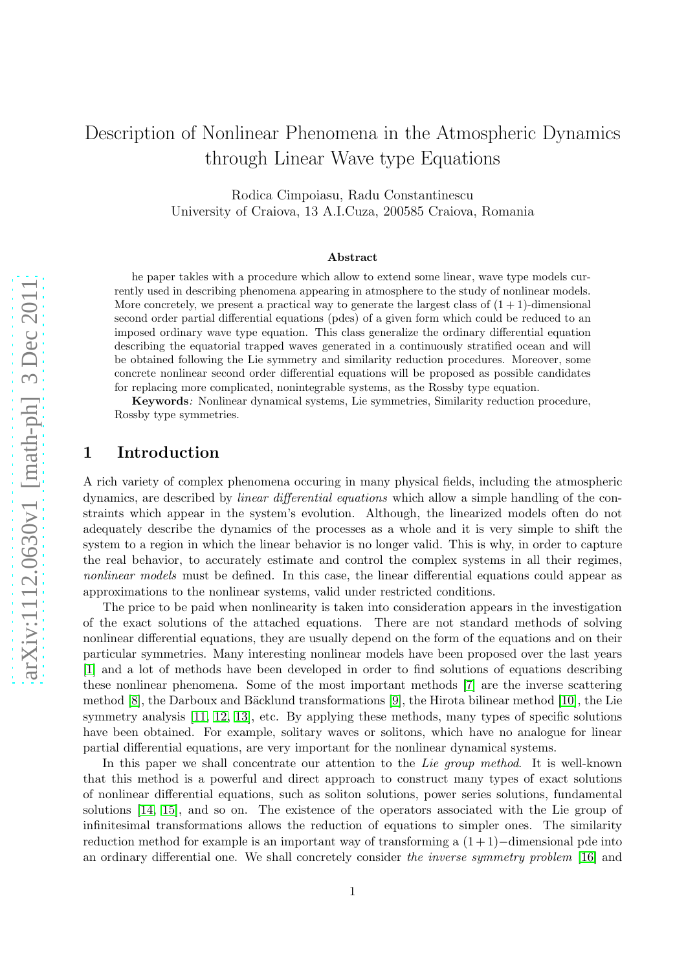# Description of Nonlinear Phenomena in the Atmospheric Dynamics through Linear Wave type Equations

Rodica Cimpoiasu, Radu Constantinescu University of Craiova, 13 A.I.Cuza, 200585 Craiova, Romania

#### Abstract

he paper takles with a procedure which allow to extend some linear, wave type models currently used in describing phenomena appearing in atmosphere to the study of nonlinear models. More concretely, we present a practical way to generate the largest class of  $(1 + 1)$ -dimensional second order partial differential equations (pdes) of a given form which could be reduced to an imposed ordinary wave type equation. This class generalize the ordinary differential equation describing the equatorial trapped waves generated in a continuously stratified ocean and will be obtained following the Lie symmetry and similarity reduction procedures. Moreover, some concrete nonlinear second order differential equations will be proposed as possible candidates for replacing more complicated, nonintegrable systems, as the Rossby type equation.

Keywords: Nonlinear dynamical systems, Lie symmetries, Similarity reduction procedure, Rossby type symmetries.

## 1 Introduction

A rich variety of complex phenomena occuring in many physical fields, including the atmospheric dynamics, are described by linear differential equations which allow a simple handling of the constraints which appear in the system's evolution. Although, the linearized models often do not adequately describe the dynamics of the processes as a whole and it is very simple to shift the system to a region in which the linear behavior is no longer valid. This is why, in order to capture the real behavior, to accurately estimate and control the complex systems in all their regimes, nonlinear models must be defined. In this case, the linear differential equations could appear as approximations to the nonlinear systems, valid under restricted conditions.

The price to be paid when nonlinearity is taken into consideration appears in the investigation of the exact solutions of the attached equations. There are not standard methods of solving nonlinear differential equations, they are usually depend on the form of the equations and on their particular symmetries. Many interesting nonlinear models have been proposed over the last years [\[1\]](#page-17-0) and a lot of methods have been developed in order to find solutions of equations describing these nonlinear phenomena. Some of the most important methods [\[7\]](#page-17-1) are the inverse scattering method  $[8]$ , the Darboux and Bäcklund transformations  $[9]$ , the Hirota bilinear method  $[10]$ , the Lie symmetry analysis [\[11,](#page-18-2) [12,](#page-18-3) [13\]](#page-18-4), etc. By applying these methods, many types of specific solutions have been obtained. For example, solitary waves or solitons, which have no analogue for linear partial differential equations, are very important for the nonlinear dynamical systems.

In this paper we shall concentrate our attention to the Lie group method. It is well-known that this method is a powerful and direct approach to construct many types of exact solutions of nonlinear differential equations, such as soliton solutions, power series solutions, fundamental solutions [\[14,](#page-18-5) [15\]](#page-18-6), and so on. The existence of the operators associated with the Lie group of infinitesimal transformations allows the reduction of equations to simpler ones. The similarity reduction method for example is an important way of transforming a  $(1+1)-$ dimensional pde into an ordinary differential one. We shall concretely consider the inverse symmetry problem [\[16\]](#page-18-7) and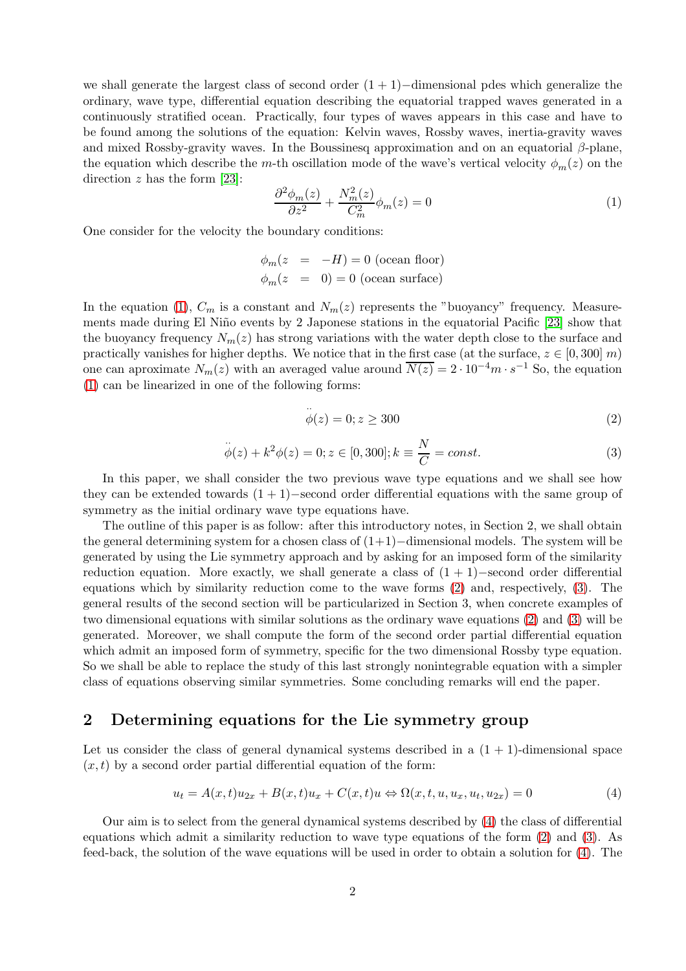we shall generate the largest class of second order  $(1 + 1)$ −dimensional pdes which generalize the ordinary, wave type, differential equation describing the equatorial trapped waves generated in a continuously stratified ocean. Practically, four types of waves appears in this case and have to be found among the solutions of the equation: Kelvin waves, Rossby waves, inertia-gravity waves and mixed Rossby-gravity waves. In the Boussinesq approximation and on an equatorial  $\beta$ -plane, the equation which describe the m-th oscillation mode of the wave's vertical velocity  $\phi_m(z)$  on the direction  $z$  has the form [\[23\]](#page-18-8):

<span id="page-11-1"></span>
$$
\frac{\partial^2 \phi_m(z)}{\partial z^2} + \frac{N_m^2(z)}{C_m^2} \phi_m(z) = 0
$$
\n(1)

One consider for the velocity the boundary conditions:

$$
\phi_m(z = -H) = 0 \text{ (ocean floor)}
$$
  

$$
\phi_m(z = 0) = 0 \text{ (ocean surface)}
$$

In the equation [\(1\)](#page-11-1),  $C_m$  is a constant and  $N_m(z)$  represents the "buoyancy" frequency. Measure-ments made during El Niño events by 2 Japonese stations in the equatorial Pacific [\[23\]](#page-18-8) show that the buoyancy frequency  $N_m(z)$  has strong variations with the water depth close to the surface and practically vanishes for higher depths. We notice that in the first case (at the surface,  $z \in [0, 300]$  m) one can aproximate  $N_m(z)$  with an averaged value around  $\overline{N(z)} = 2 \cdot 10^{-4} m \cdot s^{-1}$  So, the equation [\(1\)](#page-11-1) can be linearized in one of the following forms:

··

<span id="page-11-2"></span>
$$
\phi(z) = 0; z \ge 300\tag{2}
$$

<span id="page-11-3"></span>
$$
\ddot{\phi}(z) + k^2 \phi(z) = 0; z \in [0, 300]; k \equiv \frac{N}{C} = const.
$$
\n(3)

In this paper, we shall consider the two previous wave type equations and we shall see how they can be extended towards  $(1 + 1)$ −second order differential equations with the same group of symmetry as the initial ordinary wave type equations have.

The outline of this paper is as follow: after this introductory notes, in Section 2, we shall obtain the general determining system for a chosen class of  $(1+1)$ −dimensional models. The system will be generated by using the Lie symmetry approach and by asking for an imposed form of the similarity reduction equation. More exactly, we shall generate a class of  $(1 + 1)$ −second order differential equations which by similarity reduction come to the wave forms [\(2\)](#page-11-2) and, respectively, [\(3\)](#page-11-3). The general results of the second section will be particularized in Section 3, when concrete examples of two dimensional equations with similar solutions as the ordinary wave equations [\(2\)](#page-11-2) and [\(3\)](#page-11-3) will be generated. Moreover, we shall compute the form of the second order partial differential equation which admit an imposed form of symmetry, specific for the two dimensional Rossby type equation. So we shall be able to replace the study of this last strongly nonintegrable equation with a simpler class of equations observing similar symmetries. Some concluding remarks will end the paper.

## 2 Determining equations for the Lie symmetry group

Let us consider the class of general dynamical systems described in a  $(1 + 1)$ -dimensional space  $(x, t)$  by a second order partial differential equation of the form:

<span id="page-11-4"></span><span id="page-11-0"></span>
$$
u_t = A(x,t)u_{2x} + B(x,t)u_x + C(x,t)u \Leftrightarrow \Omega(x,t,u,u_x,u_t,u_{2x}) = 0
$$
\n<sup>(4)</sup>

Our aim is to select from the general dynamical systems described by [\(4\)](#page-11-4) the class of differential equations which admit a similarity reduction to wave type equations of the form [\(2\)](#page-11-2) and [\(3\)](#page-11-3). As feed-back, the solution of the wave equations will be used in order to obtain a solution for [\(4\)](#page-11-4). The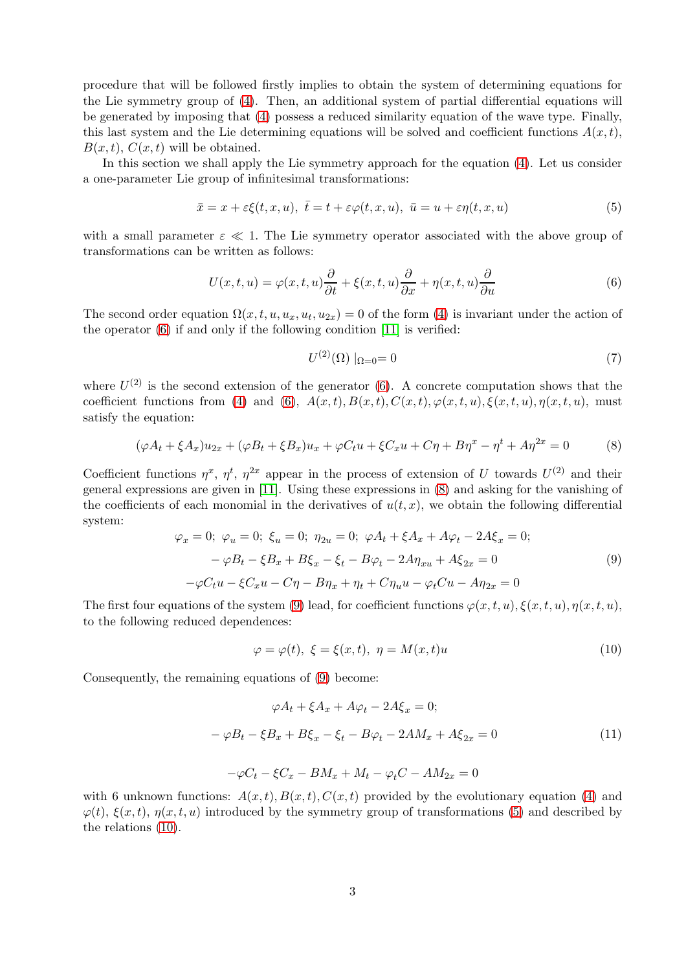procedure that will be followed firstly implies to obtain the system of determining equations for the Lie symmetry group of [\(4\)](#page-11-4). Then, an additional system of partial differential equations will be generated by imposing that [\(4\)](#page-11-4) possess a reduced similarity equation of the wave type. Finally, this last system and the Lie determining equations will be solved and coefficient functions  $A(x, t)$ ,  $B(x, t)$ ,  $C(x, t)$  will be obtained.

In this section we shall apply the Lie symmetry approach for the equation [\(4\)](#page-11-4). Let us consider a one-parameter Lie group of infinitesimal transformations:

<span id="page-12-5"></span><span id="page-12-0"></span>
$$
\bar{x} = x + \varepsilon \xi(t, x, u), \ \bar{t} = t + \varepsilon \varphi(t, x, u), \ \bar{u} = u + \varepsilon \eta(t, x, u)
$$
\n
$$
(5)
$$

with a small parameter  $\varepsilon \ll 1$ . The Lie symmetry operator associated with the above group of transformations can be written as follows:

<span id="page-12-2"></span>
$$
U(x,t,u) = \varphi(x,t,u)\frac{\partial}{\partial t} + \xi(x,t,u)\frac{\partial}{\partial x} + \eta(x,t,u)\frac{\partial}{\partial u}
$$
(6)

The second order equation  $\Omega(x, t, u, u_x, u_t, u_{2x}) = 0$  of the form [\(4\)](#page-11-4) is invariant under the action of the operator [\(6\)](#page-12-2) if and only if the following condition [\[11\]](#page-18-2) is verified:

$$
U^{(2)}(\Omega)|_{\Omega=0} = 0
$$
\n(7)

<span id="page-12-1"></span>where  $U^{(2)}$  is the second extension of the generator [\(6\)](#page-12-2). A concrete computation shows that the coefficient functions from [\(4\)](#page-11-4) and [\(6\)](#page-12-2),  $A(x,t)$ ,  $B(x,t)$ ,  $C(x,t)$ ,  $\varphi(x,t,u)$ ,  $\xi(x,t,u)$ ,  $\eta(x,t,u)$ , must satisfy the equation:

<span id="page-12-3"></span>
$$
(\varphi A_t + \xi A_x)u_{2x} + (\varphi B_t + \xi B_x)u_x + \varphi C_t u + \xi C_x u + C\eta + B\eta^x - \eta^t + A\eta^{2x} = 0
$$
 (8)

Coefficient functions  $\eta^x$ ,  $\eta^t$ ,  $\eta^{2x}$  appear in the process of extension of U towards  $U^{(2)}$  and their general expressions are given in [\[11\]](#page-18-2). Using these expressions in [\(8\)](#page-12-3) and asking for the vanishing of the coefficients of each monomial in the derivatives of  $u(t, x)$ , we obtain the following differential system:

<span id="page-12-4"></span>
$$
\varphi_x = 0; \ \varphi_u = 0; \ \xi_u = 0; \ \eta_{2u} = 0; \ \varphi A_t + \xi A_x + A\varphi_t - 2A\xi_x = 0; \n- \varphi B_t - \xi B_x + B\xi_x - \xi_t - B\varphi_t - 2A\eta_{xu} + A\xi_{2x} = 0 \n- \varphi C_t u - \xi C_x u - C\eta - B\eta_x + \eta_t + C\eta_u u - \varphi_t Cu - A\eta_{2x} = 0
$$
\n(9)

The first four equations of the system [\(9\)](#page-12-4) lead, for coefficient functions  $\varphi(x, t, u), \xi(x, t, u), \eta(x, t, u)$ to the following reduced dependences:

<span id="page-12-6"></span>
$$
\varphi = \varphi(t), \ \xi = \xi(x, t), \ \eta = M(x, t)u \tag{10}
$$

Consequently, the remaining equations of [\(9\)](#page-12-4) become:

<span id="page-12-7"></span>
$$
\varphi A_t + \xi A_x + A\varphi_t - 2A\xi_x = 0;
$$
  

$$
-\varphi B_t - \xi B_x + B\xi_x - \xi_t - B\varphi_t - 2AM_x + A\xi_{2x} = 0
$$
(11)

$$
-\varphi C_t - \xi C_x - BM_x + M_t - \varphi_t C - AM_{2x} = 0
$$

with 6 unknown functions:  $A(x,t), B(x,t), C(x,t)$  provided by the evolutionary equation [\(4\)](#page-11-4) and  $\varphi(t)$ ,  $\xi(x,t)$ ,  $\eta(x,t,u)$  introduced by the symmetry group of transformations [\(5\)](#page-12-5) and described by the relations [\(10\)](#page-12-6).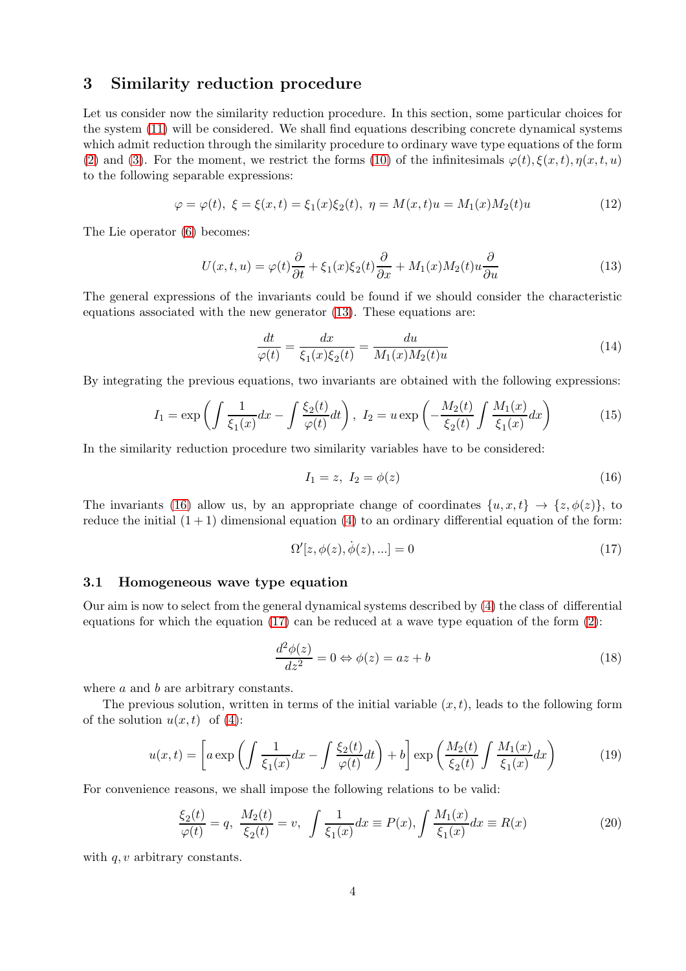## 3 Similarity reduction procedure

Let us consider now the similarity reduction procedure. In this section, some particular choices for the system [\(11\)](#page-12-7) will be considered. We shall find equations describing concrete dynamical systems which admit reduction through the similarity procedure to ordinary wave type equations of the form [\(2\)](#page-11-2) and [\(3\)](#page-11-3). For the moment, we restrict the forms [\(10\)](#page-12-6) of the infinitesimals  $\varphi(t), \xi(x, t), \eta(x, t, u)$ to the following separable expressions:

<span id="page-13-5"></span>
$$
\varphi = \varphi(t), \ \xi = \xi(x, t) = \xi_1(x)\xi_2(t), \ \eta = M(x, t)u = M_1(x)M_2(t)u \tag{12}
$$

The Lie operator [\(6\)](#page-12-2) becomes:

<span id="page-13-1"></span>
$$
U(x,t,u) = \varphi(t)\frac{\partial}{\partial t} + \xi_1(x)\xi_2(t)\frac{\partial}{\partial x} + M_1(x)M_2(t)u\frac{\partial}{\partial u}
$$
\n(13)

The general expressions of the invariants could be found if we should consider the characteristic equations associated with the new generator [\(13\)](#page-13-1). These equations are:

$$
\frac{dt}{\varphi(t)} = \frac{dx}{\xi_1(x)\xi_2(t)} = \frac{du}{M_1(x)M_2(t)u}
$$
\n(14)

By integrating the previous equations, two invariants are obtained with the following expressions:

$$
I_1 = \exp\left(\int \frac{1}{\xi_1(x)} dx - \int \frac{\xi_2(t)}{\varphi(t)} dt\right), \ I_2 = u \exp\left(-\frac{M_2(t)}{\xi_2(t)} \int \frac{M_1(x)}{\xi_1(x)} dx\right) \tag{15}
$$

In the similarity reduction procedure two similarity variables have to be considered:

<span id="page-13-2"></span>
$$
I_1 = z, I_2 = \phi(z)
$$
 (16)

The invariants [\(16\)](#page-13-2) allow us, by an appropriate change of coordinates  $\{u, x, t\} \rightarrow \{z, \phi(z)\}\)$ , to reduce the initial  $(1 + 1)$  dimensional equation  $(4)$  to an ordinary differential equation of the form:

<span id="page-13-3"></span>
$$
\Omega'[z,\phi(z),\dot{\phi}(z),...]=0
$$
\n(17)

#### 3.1 Homogeneous wave type equation

Our aim is now to select from the general dynamical systems described by [\(4\)](#page-11-4) the class of differential equations for which the equation  $(17)$  can be reduced at a wave type equation of the form  $(2)$ :

$$
\frac{d^2\phi(z)}{dz^2} = 0 \Leftrightarrow \phi(z) = az + b \tag{18}
$$

where a and b are arbitrary constants.

The previous solution, written in terms of the initial variable  $(x, t)$ , leads to the following form of the solution  $u(x, t)$  of [\(4\)](#page-11-4):

<span id="page-13-6"></span><span id="page-13-0"></span>
$$
u(x,t) = \left[ a \exp\left(\int \frac{1}{\xi_1(x)} dx - \int \frac{\xi_2(t)}{\varphi(t)} dt\right) + b \right] \exp\left(\frac{M_2(t)}{\xi_2(t)} \int \frac{M_1(x)}{\xi_1(x)} dx\right) \tag{19}
$$

For convenience reasons, we shall impose the following relations to be valid:

<span id="page-13-4"></span>
$$
\frac{\xi_2(t)}{\varphi(t)} = q, \ \frac{M_2(t)}{\xi_2(t)} = v, \ \int \frac{1}{\xi_1(x)} dx \equiv P(x), \int \frac{M_1(x)}{\xi_1(x)} dx \equiv R(x) \tag{20}
$$

with  $q, v$  arbitrary constants.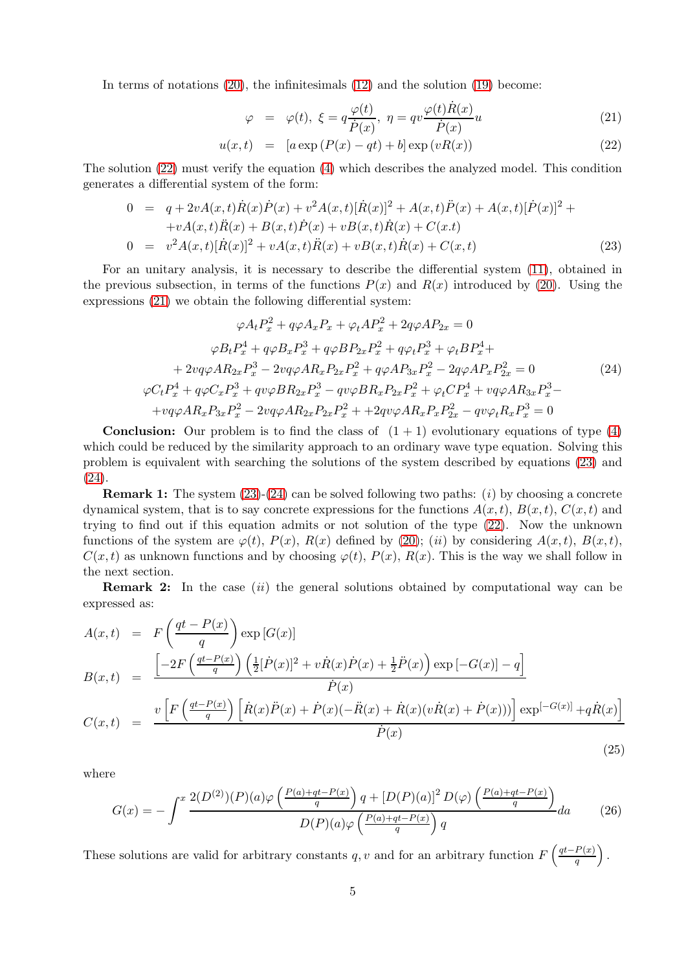In terms of notations [\(20\)](#page-13-4), the infinitesimals [\(12\)](#page-13-5) and the solution [\(19\)](#page-13-6) become:

<span id="page-14-3"></span><span id="page-14-0"></span>
$$
\varphi = \varphi(t), \ \xi = q \frac{\varphi(t)}{\dot{P}(x)}, \ \eta = qv \frac{\varphi(t)\dot{R}(x)}{\dot{P}(x)}u \tag{21}
$$

$$
u(x,t) = [a \exp (P(x) - qt) + b] \exp (vR(x))
$$
\n(22)

The solution [\(22\)](#page-14-3) must verify the equation [\(4\)](#page-11-4) which describes the analyzed model. This condition generates a differential system of the form:

<span id="page-14-4"></span>
$$
0 = q + 2vA(x,t)\dot{R}(x)\dot{P}(x) + v^2A(x,t)[\dot{R}(x)]^2 + A(x,t)\ddot{P}(x) + A(x,t)[\dot{P}(x)]^2 ++ vA(x,t)\ddot{R}(x) + B(x,t)\dot{P}(x) + vB(x,t)\dot{R}(x) + C(x,t)0 = v^2A(x,t)[\dot{R}(x)]^2 + vA(x,t)\ddot{R}(x) + vB(x,t)\dot{R}(x) + C(x,t)
$$
\n(23)

For an unitary analysis, it is necessary to describe the differential system [\(11\)](#page-12-7), obtained in the previous subsection, in terms of the functions  $P(x)$  and  $R(x)$  introduced by [\(20\)](#page-13-4). Using the expressions [\(21\)](#page-14-3) we obtain the following differential system:

<span id="page-14-5"></span><span id="page-14-1"></span>
$$
\varphi A_t P_x^2 + q\varphi A_x P_x + \varphi_t A P_x^2 + 2q\varphi A P_{2x} = 0
$$
  
\n
$$
\varphi B_t P_x^4 + q\varphi B_x P_x^3 + q\varphi B P_{2x} P_x^2 + q\varphi_t P_x^3 + \varphi_t B P_x^4 +
$$
  
\n
$$
+ 2vq\varphi A R_{2x} P_x^3 - 2vq\varphi A R_x P_{2x} P_x^2 + q\varphi A P_{3x} P_x^2 - 2q\varphi A P_x P_{2x}^2 = 0
$$
  
\n
$$
\varphi C_t P_x^4 + q\varphi C_x P_x^3 + qv\varphi B R_{2x} P_x^3 - qv\varphi B R_x P_{2x} P_x^2 + \varphi_t C P_x^4 + vq\varphi A R_{3x} P_x^3 -
$$
  
\n
$$
+ vq\varphi A R_x P_{3x} P_x^2 - 2vq\varphi A R_{2x} P_{2x} P_x^2 + +2qv\varphi A R_x P_x P_{2x}^2 - qv\varphi_t R_x P_x^3 = 0
$$
  
\n(24)

**Conclusion:** Our problem is to find the class of  $(1 + 1)$  evolutionary equations of type  $(4)$ which could be reduced by the similarity approach to an ordinary wave type equation. Solving this problem is equivalent with searching the solutions of the system described by equations [\(23\)](#page-14-4) and [\(24\)](#page-14-5).

**Remark 1:** The system  $(23)-(24)$  $(23)-(24)$  can be solved following two paths:  $(i)$  by choosing a concrete dynamical system, that is to say concrete expressions for the functions  $A(x, t)$ ,  $B(x, t)$ ,  $C(x, t)$  and trying to find out if this equation admits or not solution of the type [\(22\)](#page-14-3). Now the unknown functions of the system are  $\varphi(t)$ ,  $P(x)$ ,  $R(x)$  defined by [\(20\)](#page-13-4); (ii) by considering  $A(x,t)$ ,  $B(x,t)$ ,  $C(x, t)$  as unknown functions and by choosing  $\varphi(t)$ ,  $P(x)$ ,  $R(x)$ . This is the way we shall follow in the next section.

**Remark 2:** In the case  $(ii)$  the general solutions obtained by computational way can be expressed as:

$$
A(x,t) = F\left(\frac{qt - P(x)}{q}\right) \exp\left[G(x)\right]
$$
  
\n
$$
B(x,t) = \frac{\left[-2F\left(\frac{qt - P(x)}{q}\right)\left(\frac{1}{2}[\dot{P}(x)]^2 + v\dot{R}(x)\dot{P}(x) + \frac{1}{2}\dot{P}(x)\right)\exp\left[-G(x)\right] - q\right]}{\dot{P}(x)}
$$
  
\n
$$
C(x,t) = \frac{v\left[F\left(\frac{qt - P(x)}{q}\right)\left[\dot{R}(x)\ddot{P}(x) + \dot{P}(x)(-\ddot{R}(x) + \dot{R}(x)(v\dot{R}(x) + \dot{P}(x)))\right]\exp\left[-G(x)\right] + q\dot{R}(x)\right]}{\dot{P}(x)}
$$

<span id="page-14-2"></span>where

$$
G(x) = -\int^{x} \frac{2(D^{(2)})(P)(a)\varphi\left(\frac{P(a)+qt-P(x)}{q}\right)q + [D(P)(a)]^{2} D(\varphi)\left(\frac{P(a)+qt-P(x)}{q}\right)}{D(P)(a)\varphi\left(\frac{P(a)+qt-P(x)}{q}\right)q}d\alpha
$$
 (26)

 $\dot{P}(x)$ 

(25)

These solutions are valid for arbitrary constants q, v and for an arbitrary function  $F\left(\frac{qt-P(x)}{a}\right)$  $\frac{P(x)}{q}$ .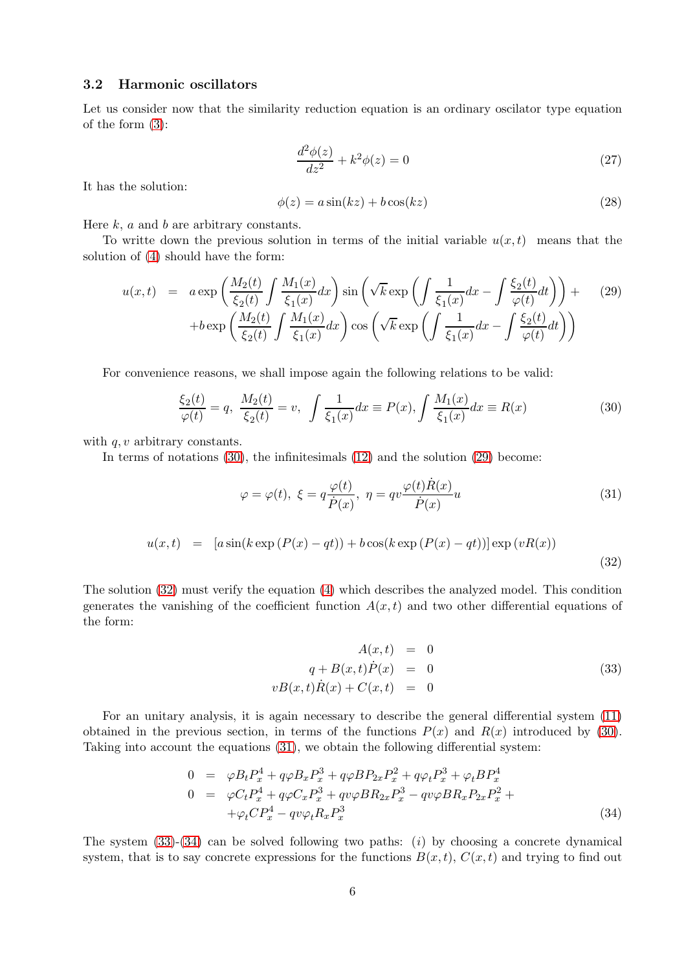#### 3.2 Harmonic oscillators

Let us consider now that the similarity reduction equation is an ordinary oscilator type equation of the form [\(3\)](#page-11-3):

<span id="page-15-1"></span><span id="page-15-0"></span>
$$
\frac{d^2\phi(z)}{dz^2} + k^2\phi(z) = 0
$$
\n(27)

It has the solution:

$$
\phi(z) = a\sin(kz) + b\cos(kz) \tag{28}
$$

Here  $k$ ,  $a$  and  $b$  are arbitrary constants.

To writte down the previous solution in terms of the initial variable  $u(x, t)$  means that the solution of [\(4\)](#page-11-4) should have the form:

<span id="page-15-7"></span>
$$
u(x,t) = a \exp\left(\frac{M_2(t)}{\xi_2(t)} \int \frac{M_1(x)}{\xi_1(x)} dx\right) \sin\left(\sqrt{k} \exp\left(\int \frac{1}{\xi_1(x)} dx - \int \frac{\xi_2(t)}{\varphi(t)} dt\right)\right) +
$$
  
+ 
$$
b \exp\left(\frac{M_2(t)}{\xi_2(t)} \int \frac{M_1(x)}{\xi_1(x)} dx\right) \cos\left(\sqrt{k} \exp\left(\int \frac{1}{\xi_1(x)} dx - \int \frac{\xi_2(t)}{\varphi(t)} dt\right)\right)
$$
(29)

For convenience reasons, we shall impose again the following relations to be valid:

<span id="page-15-6"></span><span id="page-15-2"></span>
$$
\frac{\xi_2(t)}{\varphi(t)} = q, \ \frac{M_2(t)}{\xi_2(t)} = v, \ \int \frac{1}{\xi_1(x)} dx \equiv P(x), \int \frac{M_1(x)}{\xi_1(x)} dx \equiv R(x) \tag{30}
$$

with  $q, v$  arbitrary constants.

<span id="page-15-5"></span>In terms of notations [\(30\)](#page-15-6), the infinitesimals [\(12\)](#page-13-5) and the solution [\(29\)](#page-15-7) become:

<span id="page-15-9"></span>
$$
\varphi = \varphi(t), \ \xi = q \frac{\varphi(t)}{\dot{P}(x)}, \ \eta = qv \frac{\varphi(t)\dot{R}(x)}{\dot{P}(x)}u \tag{31}
$$

<span id="page-15-8"></span>
$$
u(x,t) = [a\sin(k\exp(P(x)-qt)) + b\cos(k\exp(P(x)-qt))] \exp(vR(x))
$$
\n(32)

The solution [\(32\)](#page-15-8) must verify the equation [\(4\)](#page-11-4) which describes the analyzed model. This condition generates the vanishing of the coefficient function  $A(x,t)$  and two other differential equations of the form:

<span id="page-15-10"></span><span id="page-15-3"></span>
$$
A(x,t) = 0
$$
  
\n
$$
q + B(x,t)\dot{P}(x) = 0
$$
  
\n
$$
vB(x,t)\dot{R}(x) + C(x,t) = 0
$$
\n(33)

For an unitary analysis, it is again necessary to describe the general differential system [\(11\)](#page-12-7) obtained in the previous section, in terms of the functions  $P(x)$  and  $R(x)$  introduced by [\(30\)](#page-15-6). Taking into account the equations [\(31\)](#page-15-9), we obtain the following differential system:

<span id="page-15-11"></span><span id="page-15-4"></span>
$$
0 = \varphi B_t P_x^4 + q\varphi B_x P_x^3 + q\varphi B P_{2x} P_x^2 + q\varphi_t P_x^3 + \varphi_t B P_x^4
$$
  
\n
$$
0 = \varphi C_t P_x^4 + q\varphi C_x P_x^3 + q\varphi \varphi B R_{2x} P_x^3 - q\varphi \varphi B R_x P_{2x} P_x^2 +
$$
  
\n
$$
+ \varphi_t C P_x^4 - q\varphi \varphi_t R_x P_x^3
$$
\n(34)

The system  $(33)-(34)$  $(33)-(34)$  can be solved following two paths: (i) by choosing a concrete dynamical system, that is to say concrete expressions for the functions  $B(x,t)$ ,  $C(x,t)$  and trying to find out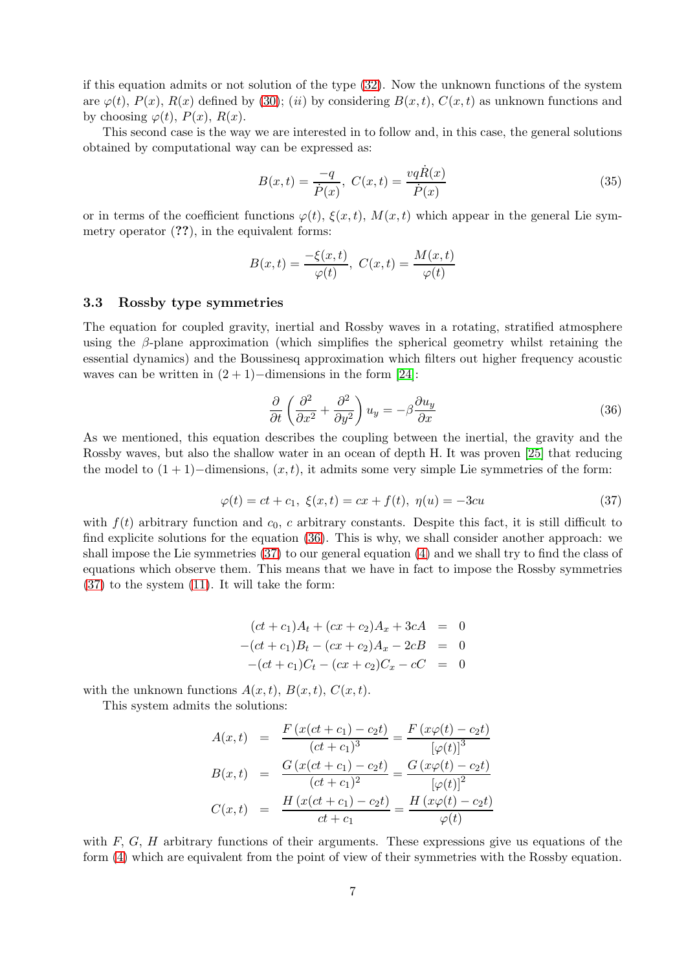if this equation admits or not solution of the type [\(32\)](#page-15-8). Now the unknown functions of the system are  $\varphi(t)$ ,  $P(x)$ ,  $R(x)$  defined by [\(30\)](#page-15-6); (ii) by considering  $B(x,t)$ ,  $C(x,t)$  as unknown functions and by choosing  $\varphi(t)$ ,  $P(x)$ ,  $R(x)$ .

This second case is the way we are interested in to follow and, in this case, the general solutions obtained by computational way can be expressed as:

<span id="page-16-0"></span>
$$
B(x,t) = \frac{-q}{\dot{P}(x)}, \ C(x,t) = \frac{vq\dot{R}(x)}{\dot{P}(x)}
$$
(35)

or in terms of the coefficient functions  $\varphi(t)$ ,  $\xi(x, t)$ ,  $M(x, t)$  which appear in the general Lie symmetry operator (??), in the equivalent forms:

$$
B(x,t) = \frac{-\xi(x,t)}{\varphi(t)}, \ C(x,t) = \frac{M(x,t)}{\varphi(t)}
$$

#### 3.3 Rossby type symmetries

The equation for coupled gravity, inertial and Rossby waves in a rotating, stratified atmosphere using the  $\beta$ -plane approximation (which simplifies the spherical geometry whilst retaining the essential dynamics) and the Boussinesq approximation which filters out higher frequency acoustic waves can be written in  $(2 + 1)$ −dimensions in the form [\[24\]](#page-18-9):

<span id="page-16-2"></span>
$$
\frac{\partial}{\partial t} \left( \frac{\partial^2}{\partial x^2} + \frac{\partial^2}{\partial y^2} \right) u_y = -\beta \frac{\partial u_y}{\partial x}
$$
\n(36)

As we mentioned, this equation describes the coupling between the inertial, the gravity and the Rossby waves, but also the shallow water in an ocean of depth H. It was proven [\[25\]](#page-18-10) that reducing the model to  $(1 + 1)$ −dimensions,  $(x, t)$ , it admits some very simple Lie symmetries of the form:

<span id="page-16-3"></span><span id="page-16-1"></span>
$$
\varphi(t) = ct + c_1, \ \xi(x, t) = cx + f(t), \ \eta(u) = -3cu \tag{37}
$$

with  $f(t)$  arbitrary function and  $c_0$ , c arbitrary constants. Despite this fact, it is still difficult to find explicite solutions for the equation [\(36\)](#page-16-2). This is why, we shall consider another approach: we shall impose the Lie symmetries [\(37\)](#page-16-3) to our general equation [\(4\)](#page-11-4) and we shall try to find the class of equations which observe them. This means that we have in fact to impose the Rossby symmetries [\(37\)](#page-16-3) to the system [\(11\)](#page-12-7). It will take the form:

$$
(ct + c1)At + (cx + c2)Ax + 3cA = 0
$$
  
-(ct + c<sub>1</sub>)B<sub>t</sub> - (cx + c<sub>2</sub>)A<sub>x</sub> - 2cB = 0  
-(ct + c<sub>1</sub>)C<sub>t</sub> - (cx + c<sub>2</sub>)C<sub>x</sub> - cC = 0

with the unknown functions  $A(x, t)$ ,  $B(x, t)$ ,  $C(x, t)$ .

This system admits the solutions:

$$
A(x,t) = \frac{F(x(ct + c_1) - c_2t)}{(ct + c_1)^3} = \frac{F(x\varphi(t) - c_2t)}{[\varphi(t)]^3}
$$

$$
B(x,t) = \frac{G(x(ct + c_1) - c_2t)}{(ct + c_1)^2} = \frac{G(x\varphi(t) - c_2t)}{[\varphi(t)]^2}
$$

$$
C(x,t) = \frac{H(x(ct + c_1) - c_2t)}{ct + c_1} = \frac{H(x\varphi(t) - c_2t)}{\varphi(t)}
$$

with  $F, G, H$  arbitrary functions of their arguments. These expressions give us equations of the form [\(4\)](#page-11-4) which are equivalent from the point of view of their symmetries with the Rossby equation.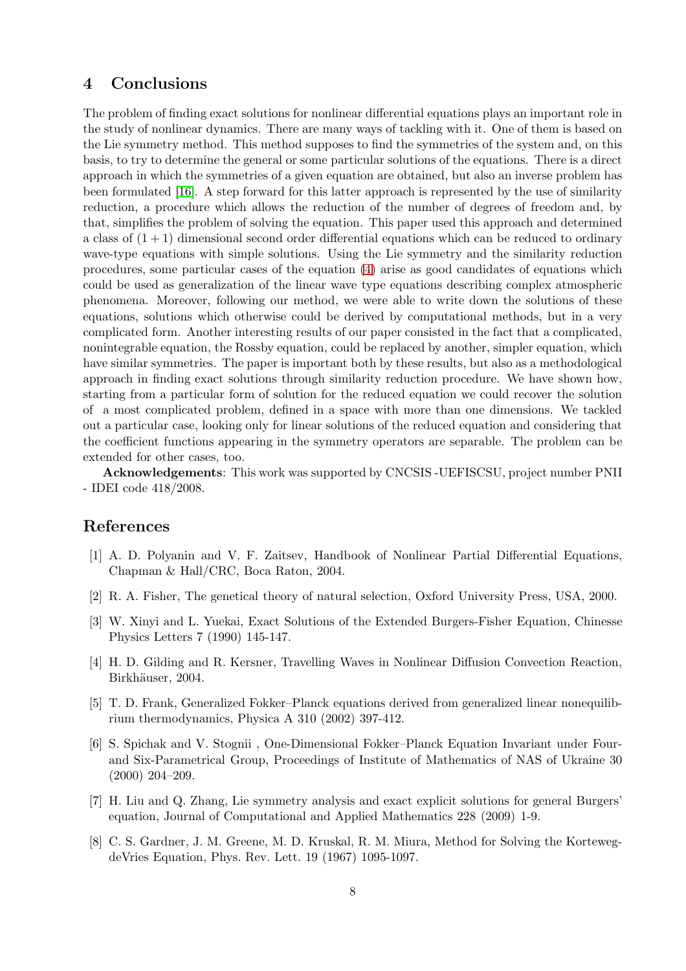## 4 Conclusions

The problem of finding exact solutions for nonlinear differential equations plays an important role in the study of nonlinear dynamics. There are many ways of tackling with it. One of them is based on the Lie symmetry method. This method supposes to find the symmetries of the system and, on this basis, to try to determine the general or some particular solutions of the equations. There is a direct approach in which the symmetries of a given equation are obtained, but also an inverse problem has been formulated [\[16\]](#page-18-7). A step forward for this latter approach is represented by the use of similarity reduction, a procedure which allows the reduction of the number of degrees of freedom and, by that, simplifies the problem of solving the equation. This paper used this approach and determined a class of  $(1 + 1)$  dimensional second order differential equations which can be reduced to ordinary wave-type equations with simple solutions. Using the Lie symmetry and the similarity reduction procedures, some particular cases of the equation [\(4\)](#page-11-4) arise as good candidates of equations which could be used as generalization of the linear wave type equations describing complex atmospheric phenomena. Moreover, following our method, we were able to write down the solutions of these equations, solutions which otherwise could be derived by computational methods, but in a very complicated form. Another interesting results of our paper consisted in the fact that a complicated, nonintegrable equation, the Rossby equation, could be replaced by another, simpler equation, which have similar symmetries. The paper is important both by these results, but also as a methodological approach in finding exact solutions through similarity reduction procedure. We have shown how, starting from a particular form of solution for the reduced equation we could recover the solution of a most complicated problem, defined in a space with more than one dimensions. We tackled out a particular case, looking only for linear solutions of the reduced equation and considering that the coefficient functions appearing in the symmetry operators are separable. The problem can be extended for other cases, too.

Acknowledgements: This work was supported by CNCSIS -UEFISCSU, project number PNII - IDEI code 418/2008.

## <span id="page-17-0"></span>References

- [1] A. D. Polyanin and V. F. Zaitsev, Handbook of Nonlinear Partial Differential Equations, Chapman & Hall/CRC, Boca Raton, 2004.
- [2] R. A. Fisher, The genetical theory of natural selection, Oxford University Press, USA, 2000.
- [3] W. Xinyi and L. Yuekai, Exact Solutions of the Extended Burgers-Fisher Equation, Chinesse Physics Letters 7 (1990) 145-147.
- [4] H. D. Gilding and R. Kersner, Travelling Waves in Nonlinear Diffusion Convection Reaction, Birkhäuser, 2004.
- [5] T. D. Frank, Generalized Fokker–Planck equations derived from generalized linear nonequilibrium thermodynamics, Physica A 310 (2002) 397-412.
- [6] S. Spichak and V. Stognii , One-Dimensional Fokker–Planck Equation Invariant under Fourand Six-Parametrical Group, Proceedings of Institute of Mathematics of NAS of Ukraine 30 (2000) 204–209.
- <span id="page-17-1"></span>[7] H. Liu and Q. Zhang, Lie symmetry analysis and exact explicit solutions for general Burgers' equation, Journal of Computational and Applied Mathematics 228 (2009) 1-9.
- <span id="page-17-2"></span>[8] C. S. Gardner, J. M. Greene, M. D. Kruskal, R. M. Miura, Method for Solving the KortewegdeVries Equation, Phys. Rev. Lett. 19 (1967) 1095-1097.